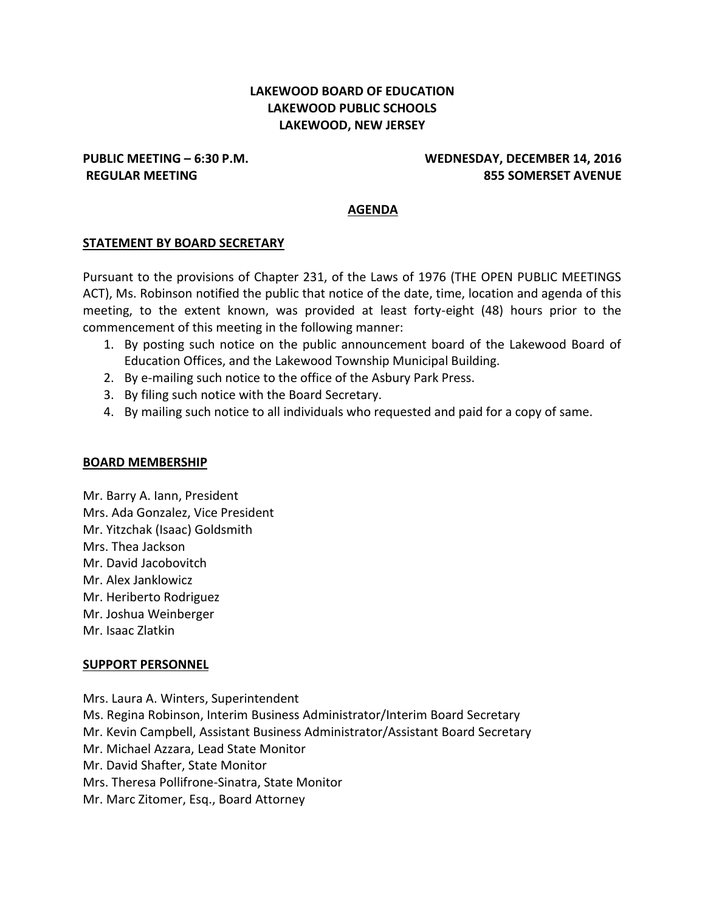# **LAKEWOOD BOARD OF EDUCATION LAKEWOOD PUBLIC SCHOOLS LAKEWOOD, NEW JERSEY**

### **PUBLIC MEETING – 6:30 P.M. WEDNESDAY, DECEMBER 14, 2016 REGULAR MEETING 855 SOMERSET AVENUE**

### **AGENDA**

#### **STATEMENT BY BOARD SECRETARY**

Pursuant to the provisions of Chapter 231, of the Laws of 1976 (THE OPEN PUBLIC MEETINGS ACT), Ms. Robinson notified the public that notice of the date, time, location and agenda of this meeting, to the extent known, was provided at least forty-eight (48) hours prior to the commencement of this meeting in the following manner:

- 1. By posting such notice on the public announcement board of the Lakewood Board of Education Offices, and the Lakewood Township Municipal Building.
- 2. By e-mailing such notice to the office of the Asbury Park Press.
- 3. By filing such notice with the Board Secretary.
- 4. By mailing such notice to all individuals who requested and paid for a copy of same.

#### **BOARD MEMBERSHIP**

Mr. Barry A. Iann, President Mrs. Ada Gonzalez, Vice President Mr. Yitzchak (Isaac) Goldsmith Mrs. Thea Jackson Mr. David Jacobovitch Mr. Alex Janklowicz Mr. Heriberto Rodriguez Mr. Joshua Weinberger Mr. Isaac Zlatkin

#### **SUPPORT PERSONNEL**

Mrs. Laura A. Winters, Superintendent Ms. Regina Robinson, Interim Business Administrator/Interim Board Secretary Mr. Kevin Campbell, Assistant Business Administrator/Assistant Board Secretary Mr. Michael Azzara, Lead State Monitor Mr. David Shafter, State Monitor Mrs. Theresa Pollifrone-Sinatra, State Monitor Mr. Marc Zitomer, Esq., Board Attorney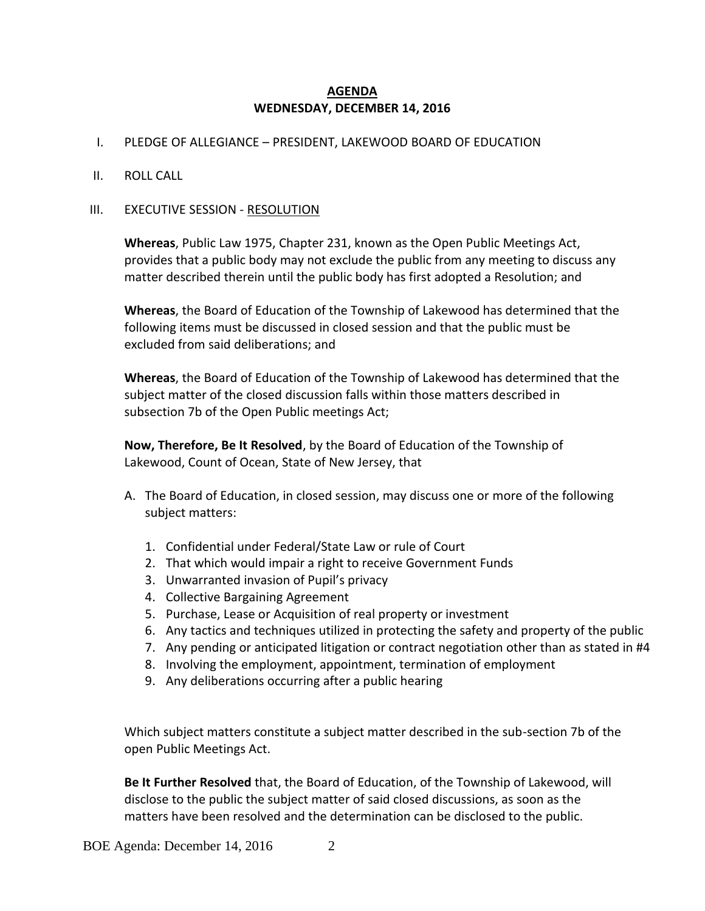### **AGENDA WEDNESDAY, DECEMBER 14, 2016**

### I. PLEDGE OF ALLEGIANCE – PRESIDENT, LAKEWOOD BOARD OF EDUCATION

#### II. ROLL CALL

#### III. EXECUTIVE SESSION - RESOLUTION

**Whereas**, Public Law 1975, Chapter 231, known as the Open Public Meetings Act, provides that a public body may not exclude the public from any meeting to discuss any matter described therein until the public body has first adopted a Resolution; and

**Whereas**, the Board of Education of the Township of Lakewood has determined that the following items must be discussed in closed session and that the public must be excluded from said deliberations; and

**Whereas**, the Board of Education of the Township of Lakewood has determined that the subject matter of the closed discussion falls within those matters described in subsection 7b of the Open Public meetings Act;

**Now, Therefore, Be It Resolved**, by the Board of Education of the Township of Lakewood, Count of Ocean, State of New Jersey, that

- A. The Board of Education, in closed session, may discuss one or more of the following subject matters:
	- 1. Confidential under Federal/State Law or rule of Court
	- 2. That which would impair a right to receive Government Funds
	- 3. Unwarranted invasion of Pupil's privacy
	- 4. Collective Bargaining Agreement
	- 5. Purchase, Lease or Acquisition of real property or investment
	- 6. Any tactics and techniques utilized in protecting the safety and property of the public
	- 7. Any pending or anticipated litigation or contract negotiation other than as stated in #4
	- 8. Involving the employment, appointment, termination of employment
	- 9. Any deliberations occurring after a public hearing

Which subject matters constitute a subject matter described in the sub-section 7b of the open Public Meetings Act.

**Be It Further Resolved** that, the Board of Education, of the Township of Lakewood, will disclose to the public the subject matter of said closed discussions, as soon as the matters have been resolved and the determination can be disclosed to the public.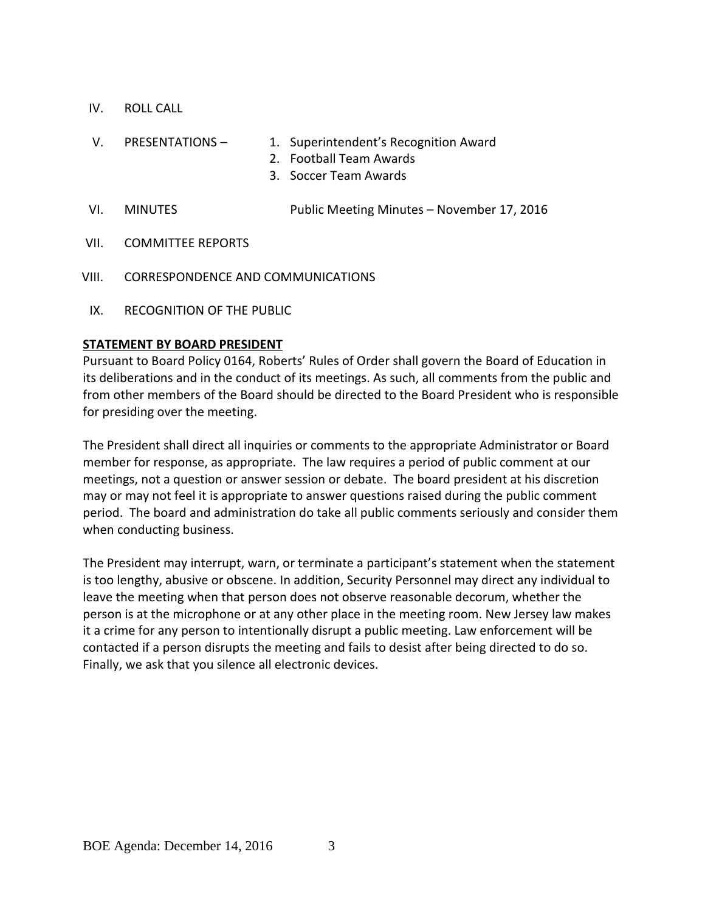- IV. ROLL CALL
- V. PRESENTATIONS 1. Superintendent's Recognition Award
	- 2. Football Team Awards
	- 3. Soccer Team Awards
- VI. MINUTES Public Meeting Minutes November 17, 2016
- VII. COMMITTEE REPORTS
- VIII. CORRESPONDENCE AND COMMUNICATIONS
- IX. RECOGNITION OF THE PUBLIC

### **STATEMENT BY BOARD PRESIDENT**

Pursuant to Board Policy 0164, Roberts' Rules of Order shall govern the Board of Education in its deliberations and in the conduct of its meetings. As such, all comments from the public and from other members of the Board should be directed to the Board President who is responsible for presiding over the meeting.

The President shall direct all inquiries or comments to the appropriate Administrator or Board member for response, as appropriate. The law requires a period of public comment at our meetings, not a question or answer session or debate. The board president at his discretion may or may not feel it is appropriate to answer questions raised during the public comment period. The board and administration do take all public comments seriously and consider them when conducting business.

The President may interrupt, warn, or terminate a participant's statement when the statement is too lengthy, abusive or obscene. In addition, Security Personnel may direct any individual to leave the meeting when that person does not observe reasonable decorum, whether the person is at the microphone or at any other place in the meeting room. New Jersey law makes it a crime for any person to intentionally disrupt a public meeting. Law enforcement will be contacted if a person disrupts the meeting and fails to desist after being directed to do so. Finally, we ask that you silence all electronic devices.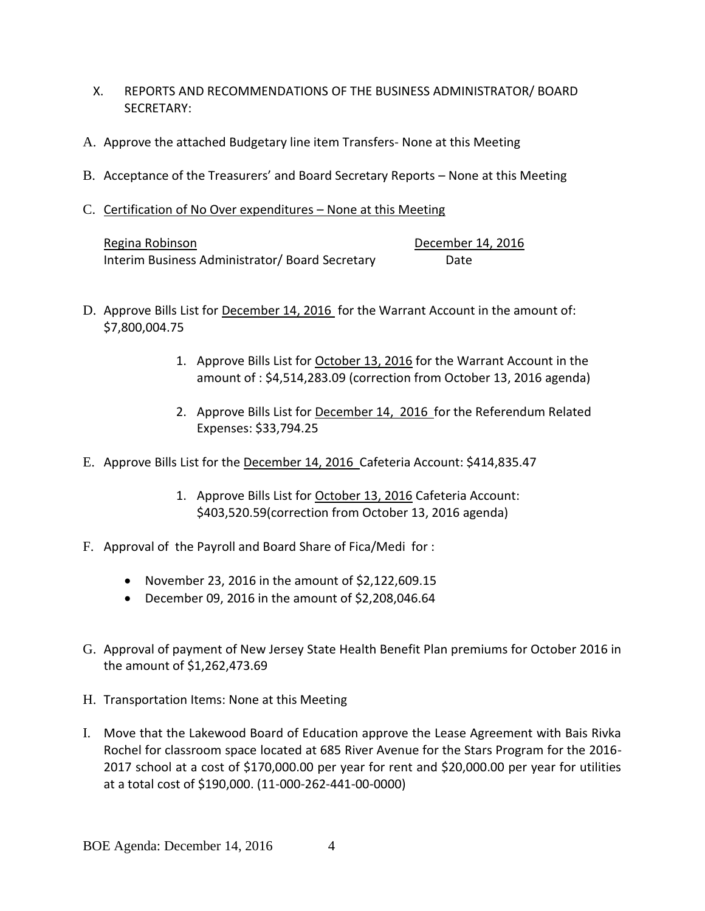- X. REPORTS AND RECOMMENDATIONS OF THE BUSINESS ADMINISTRATOR/ BOARD SECRETARY:
- A. Approve the attached Budgetary line item Transfers- None at this Meeting
- B. Acceptance of the Treasurers' and Board Secretary Reports None at this Meeting
- C. Certification of No Over expenditures None at this Meeting

| Regina Robinson                                 | December 14, 2016 |
|-------------------------------------------------|-------------------|
| Interim Business Administrator/ Board Secretary | Date              |

- D. Approve Bills List for December 14, 2016 for the Warrant Account in the amount of: \$7,800,004.75
	- 1. Approve Bills List for October 13, 2016 for the Warrant Account in the amount of : \$4,514,283.09 (correction from October 13, 2016 agenda)
	- 2. Approve Bills List for December 14, 2016 for the Referendum Related Expenses: \$33,794.25
- E. Approve Bills List for the December 14, 2016 Cafeteria Account: \$414,835.47
	- 1. Approve Bills List for October 13, 2016 Cafeteria Account: \$403,520.59(correction from October 13, 2016 agenda)
- F. Approval of the Payroll and Board Share of Fica/Medi for :
	- November 23, 2016 in the amount of  $$2,122,609.15$
	- $\bullet$  December 09, 2016 in the amount of \$2,208,046.64
- G. Approval of payment of New Jersey State Health Benefit Plan premiums for October 2016 in the amount of \$1,262,473.69
- H. Transportation Items: None at this Meeting
- I. Move that the Lakewood Board of Education approve the Lease Agreement with Bais Rivka Rochel for classroom space located at 685 River Avenue for the Stars Program for the 2016- 2017 school at a cost of \$170,000.00 per year for rent and \$20,000.00 per year for utilities at a total cost of \$190,000. (11-000-262-441-00-0000)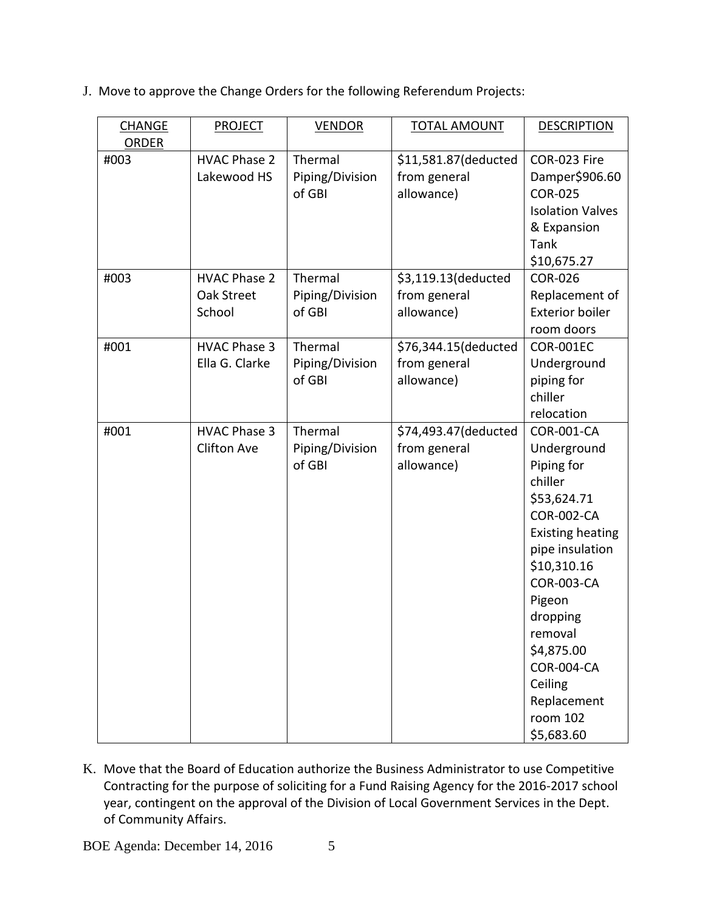J. Move to approve the Change Orders for the following Referendum Projects:

| <b>CHANGE</b> | <b>PROJECT</b>      | <b>VENDOR</b>   | <b>TOTAL AMOUNT</b>  | <b>DESCRIPTION</b>      |
|---------------|---------------------|-----------------|----------------------|-------------------------|
| <b>ORDER</b>  |                     |                 |                      |                         |
| #003          | <b>HVAC Phase 2</b> | Thermal         | \$11,581.87(deducted | COR-023 Fire            |
|               | Lakewood HS         | Piping/Division | from general         | Damper\$906.60          |
|               |                     | of GBI          | allowance)           | <b>COR-025</b>          |
|               |                     |                 |                      | <b>Isolation Valves</b> |
|               |                     |                 |                      | & Expansion             |
|               |                     |                 |                      | <b>Tank</b>             |
|               |                     |                 |                      | \$10,675.27             |
| #003          | <b>HVAC Phase 2</b> | Thermal         | \$3,119.13(deducted  | <b>COR-026</b>          |
|               | Oak Street          | Piping/Division | from general         | Replacement of          |
|               | School              | of GBI          | allowance)           | <b>Exterior boiler</b>  |
|               |                     |                 |                      | room doors              |
| #001          | <b>HVAC Phase 3</b> | Thermal         | \$76,344.15(deducted | <b>COR-001EC</b>        |
|               | Ella G. Clarke      | Piping/Division | from general         | Underground             |
|               |                     | of GBI          | allowance)           | piping for              |
|               |                     |                 |                      | chiller                 |
|               |                     |                 |                      | relocation              |
| #001          | <b>HVAC Phase 3</b> | Thermal         | \$74,493.47(deducted | <b>COR-001-CA</b>       |
|               | <b>Clifton Ave</b>  | Piping/Division | from general         | Underground             |
|               |                     | of GBI          | allowance)           | Piping for              |
|               |                     |                 |                      | chiller                 |
|               |                     |                 |                      | \$53,624.71             |
|               |                     |                 |                      | <b>COR-002-CA</b>       |
|               |                     |                 |                      | <b>Existing heating</b> |
|               |                     |                 |                      | pipe insulation         |
|               |                     |                 |                      | \$10,310.16             |
|               |                     |                 |                      | <b>COR-003-CA</b>       |
|               |                     |                 |                      | Pigeon                  |
|               |                     |                 |                      | dropping                |
|               |                     |                 |                      | removal                 |
|               |                     |                 |                      | \$4,875.00              |
|               |                     |                 |                      | COR-004-CA              |
|               |                     |                 |                      | Ceiling                 |
|               |                     |                 |                      | Replacement             |
|               |                     |                 |                      | room 102                |
|               |                     |                 |                      | \$5,683.60              |

K. Move that the Board of Education authorize the Business Administrator to use Competitive Contracting for the purpose of soliciting for a Fund Raising Agency for the 2016-2017 school year, contingent on the approval of the Division of Local Government Services in the Dept. of Community Affairs.

BOE Agenda: December 14, 2016 5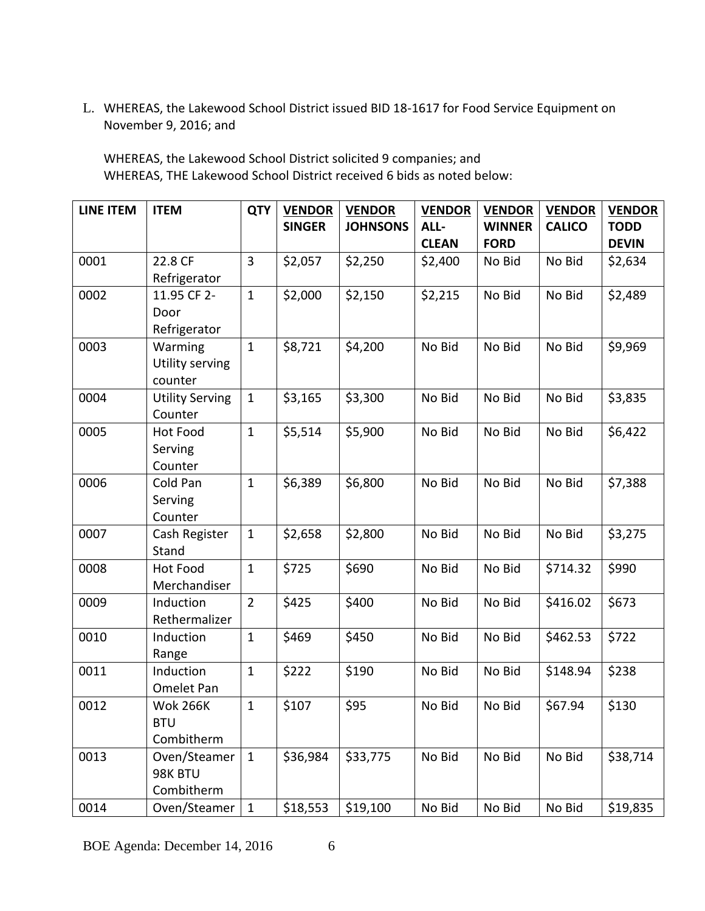L. WHEREAS, the Lakewood School District issued BID 18-1617 for Food Service Equipment on November 9, 2016; and

WHEREAS, the Lakewood School District solicited 9 companies; and WHEREAS, THE Lakewood School District received 6 bids as noted below:

| <b>LINE ITEM</b> | <b>ITEM</b>                     | <b>QTY</b>     | <b>VENDOR</b> | <b>VENDOR</b>   | <b>VENDOR</b> | <b>VENDOR</b> | <b>VENDOR</b> | <b>VENDOR</b> |
|------------------|---------------------------------|----------------|---------------|-----------------|---------------|---------------|---------------|---------------|
|                  |                                 |                | <b>SINGER</b> | <b>JOHNSONS</b> | ALL-          | <b>WINNER</b> | <b>CALICO</b> | <b>TODD</b>   |
|                  |                                 |                |               |                 | <b>CLEAN</b>  | <b>FORD</b>   |               | <b>DEVIN</b>  |
| 0001             | 22.8 CF                         | $\overline{3}$ | \$2,057       | \$2,250         | \$2,400       | No Bid        | No Bid        | \$2,634       |
|                  | Refrigerator                    |                |               |                 |               |               |               |               |
| 0002             | 11.95 CF 2-                     | $\mathbf{1}$   | \$2,000       | \$2,150         | \$2,215       | No Bid        | No Bid        | \$2,489       |
|                  | Door                            |                |               |                 |               |               |               |               |
|                  | Refrigerator                    |                |               |                 |               |               |               |               |
| 0003             | Warming                         | $\mathbf{1}$   | \$8,721       | \$4,200         | No Bid        | No Bid        | No Bid        | \$9,969       |
|                  | Utility serving                 |                |               |                 |               |               |               |               |
|                  | counter                         |                |               |                 |               |               |               |               |
| 0004             | <b>Utility Serving</b>          | $\mathbf{1}$   | \$3,165       | \$3,300         | No Bid        | No Bid        | No Bid        | \$3,835       |
|                  | Counter                         |                |               |                 |               |               |               |               |
| 0005             | <b>Hot Food</b>                 | $\mathbf{1}$   | \$5,514       | \$5,900         | No Bid        | No Bid        | No Bid        | \$6,422       |
|                  | Serving                         |                |               |                 |               |               |               |               |
|                  | Counter                         |                |               |                 |               |               |               |               |
| 0006             | Cold Pan                        | $\mathbf{1}$   | \$6,389       | \$6,800         | No Bid        | No Bid        | No Bid        | \$7,388       |
|                  | Serving                         |                |               |                 |               |               |               |               |
|                  | Counter                         |                |               |                 |               |               |               |               |
| 0007             | Cash Register                   | $\mathbf{1}$   | \$2,658       | \$2,800         | No Bid        | No Bid        | No Bid        | \$3,275       |
| 0008             | Stand                           | $\mathbf{1}$   | \$725         | \$690           |               | No Bid        | \$714.32      |               |
|                  | <b>Hot Food</b><br>Merchandiser |                |               |                 | No Bid        |               |               | \$990         |
| 0009             | Induction                       | $\overline{2}$ | \$425         | \$400           | No Bid        | No Bid        | \$416.02      | \$673         |
|                  | Rethermalizer                   |                |               |                 |               |               |               |               |
| 0010             | Induction                       | $\mathbf{1}$   | \$469         | \$450           | No Bid        | No Bid        | \$462.53      | \$722         |
|                  | Range                           |                |               |                 |               |               |               |               |
| 0011             | Induction                       | $\mathbf{1}$   | \$222         | \$190           | No Bid        | No Bid        | \$148.94      | \$238         |
|                  | Omelet Pan                      |                |               |                 |               |               |               |               |
| 0012             | <b>Wok 266K</b>                 | $\mathbf{1}$   | \$107         | \$95            | No Bid        | No Bid        | \$67.94       | \$130         |
|                  | <b>BTU</b>                      |                |               |                 |               |               |               |               |
|                  | Combitherm                      |                |               |                 |               |               |               |               |
| 0013             | Oven/Steamer                    | $\mathbf{1}$   | \$36,984      | \$33,775        | No Bid        | No Bid        | No Bid        | \$38,714      |
|                  | 98K BTU                         |                |               |                 |               |               |               |               |
|                  | Combitherm                      |                |               |                 |               |               |               |               |
| 0014             | Oven/Steamer                    | $\mathbf{1}$   | \$18,553      | \$19,100        | No Bid        | No Bid        | No Bid        | \$19,835      |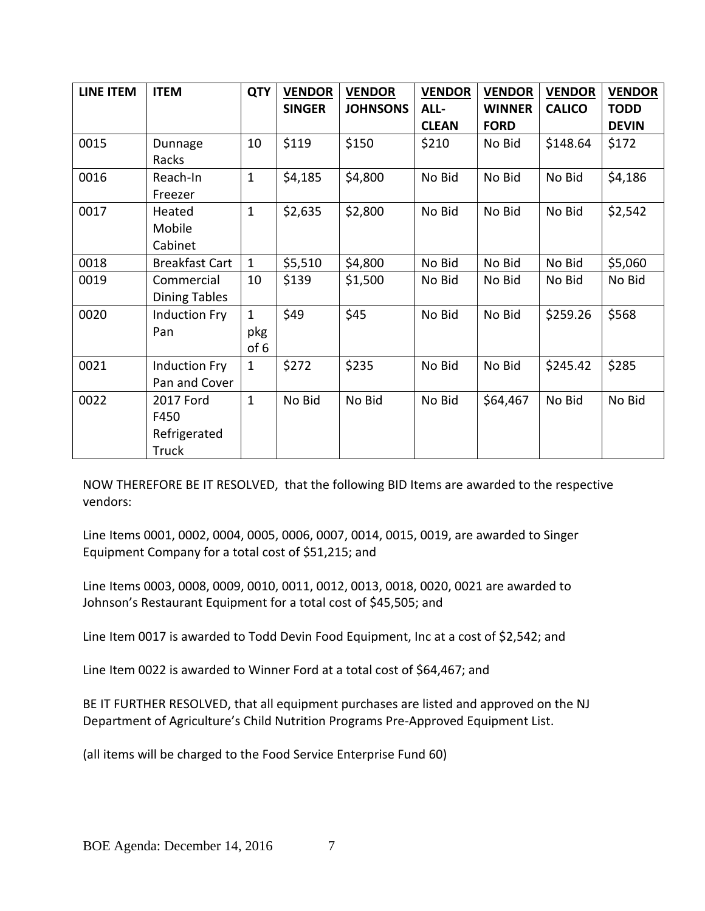| <b>LINE ITEM</b> | <b>ITEM</b>                                       | <b>QTY</b>                  | <b>VENDOR</b><br><b>SINGER</b> | <b>VENDOR</b><br><b>JOHNSONS</b> | <b>VENDOR</b><br>ALL-<br><b>CLEAN</b> | <b>VENDOR</b><br><b>WINNER</b><br><b>FORD</b> | <b>VENDOR</b><br><b>CALICO</b> | <b>VENDOR</b><br><b>TODD</b><br><b>DEVIN</b> |
|------------------|---------------------------------------------------|-----------------------------|--------------------------------|----------------------------------|---------------------------------------|-----------------------------------------------|--------------------------------|----------------------------------------------|
| 0015             | Dunnage<br>Racks                                  | 10                          | \$119                          | \$150                            | \$210                                 | No Bid                                        | \$148.64                       | \$172                                        |
| 0016             | Reach-In<br>Freezer                               | $\mathbf{1}$                | \$4,185                        | \$4,800                          | No Bid                                | No Bid                                        | No Bid                         | \$4,186                                      |
| 0017             | Heated<br>Mobile<br>Cabinet                       | $\mathbf{1}$                | \$2,635                        | \$2,800                          | No Bid                                | No Bid                                        | No Bid                         | \$2,542                                      |
| 0018             | <b>Breakfast Cart</b>                             | $\mathbf{1}$                | \$5,510                        | \$4,800                          | No Bid                                | No Bid                                        | No Bid                         | \$5,060                                      |
| 0019             | Commercial<br><b>Dining Tables</b>                | 10                          | \$139                          | \$1,500                          | No Bid                                | No Bid                                        | No Bid                         | No Bid                                       |
| 0020             | <b>Induction Fry</b><br>Pan                       | $\mathbf{1}$<br>pkg<br>of 6 | \$49                           | \$45                             | No Bid                                | No Bid                                        | \$259.26                       | \$568                                        |
| 0021             | <b>Induction Fry</b><br>Pan and Cover             | $\mathbf{1}$                | \$272                          | \$235                            | No Bid                                | No Bid                                        | \$245.42                       | \$285                                        |
| 0022             | 2017 Ford<br>F450<br>Refrigerated<br><b>Truck</b> | $\mathbf{1}$                | No Bid                         | No Bid                           | No Bid                                | \$64,467                                      | No Bid                         | No Bid                                       |

NOW THEREFORE BE IT RESOLVED, that the following BID Items are awarded to the respective vendors:

Line Items 0001, 0002, 0004, 0005, 0006, 0007, 0014, 0015, 0019, are awarded to Singer Equipment Company for a total cost of \$51,215; and

Line Items 0003, 0008, 0009, 0010, 0011, 0012, 0013, 0018, 0020, 0021 are awarded to Johnson's Restaurant Equipment for a total cost of \$45,505; and

Line Item 0017 is awarded to Todd Devin Food Equipment, Inc at a cost of \$2,542; and

Line Item 0022 is awarded to Winner Ford at a total cost of \$64,467; and

BE IT FURTHER RESOLVED, that all equipment purchases are listed and approved on the NJ Department of Agriculture's Child Nutrition Programs Pre-Approved Equipment List.

(all items will be charged to the Food Service Enterprise Fund 60)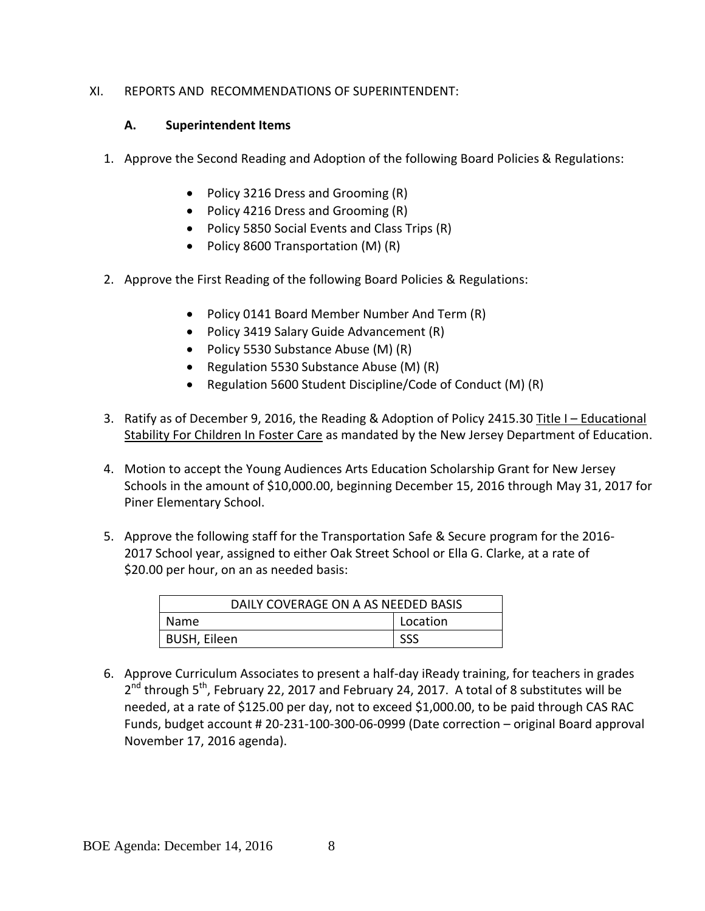## XI. REPORTS AND RECOMMENDATIONS OF SUPERINTENDENT:

### **A. Superintendent Items**

- 1. Approve the Second Reading and Adoption of the following Board Policies & Regulations:
	- Policy 3216 Dress and Grooming (R)
	- Policy 4216 Dress and Grooming (R)
	- Policy 5850 Social Events and Class Trips (R)
	- Policy 8600 Transportation (M) (R)
- 2. Approve the First Reading of the following Board Policies & Regulations:
	- Policy 0141 Board Member Number And Term (R)
	- Policy 3419 Salary Guide Advancement (R)
	- Policy 5530 Substance Abuse (M) (R)
	- Regulation 5530 Substance Abuse (M) (R)
	- Regulation 5600 Student Discipline/Code of Conduct (M) (R)
- 3. Ratify as of December 9, 2016, the Reading & Adoption of Policy 2415.30 Title I Educational Stability For Children In Foster Care as mandated by the New Jersey Department of Education.
- 4. Motion to accept the Young Audiences Arts Education Scholarship Grant for New Jersey Schools in the amount of \$10,000.00, beginning December 15, 2016 through May 31, 2017 for Piner Elementary School.
- 5. Approve the following staff for the Transportation Safe & Secure program for the 2016- 2017 School year, assigned to either Oak Street School or Ella G. Clarke, at a rate of \$20.00 per hour, on an as needed basis:

| DAILY COVERAGE ON A AS NEEDED BASIS |          |  |
|-------------------------------------|----------|--|
| <b>Name</b>                         | Location |  |
| BUSH, Eileen                        | SSS      |  |

6. Approve Curriculum Associates to present a half-day iReady training, for teachers in grades 2<sup>nd</sup> through 5<sup>th</sup>, February 22, 2017 and February 24, 2017. A total of 8 substitutes will be needed, at a rate of \$125.00 per day, not to exceed \$1,000.00, to be paid through CAS RAC Funds, budget account # 20-231-100-300-06-0999 (Date correction – original Board approval November 17, 2016 agenda).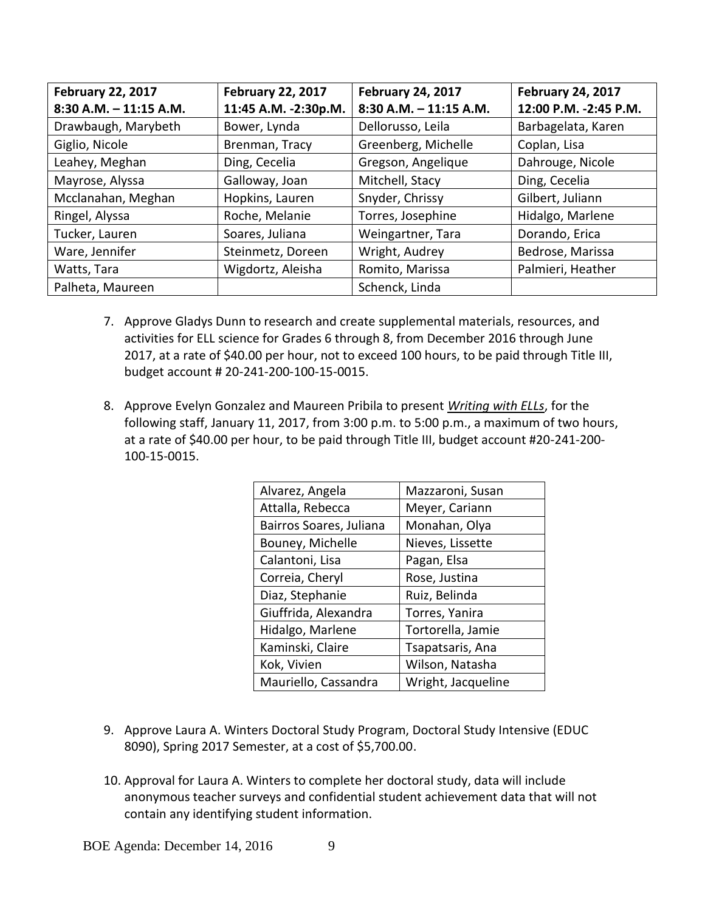| <b>February 22, 2017</b>  | <b>February 22, 2017</b> | <b>February 24, 2017</b>  | <b>February 24, 2017</b> |
|---------------------------|--------------------------|---------------------------|--------------------------|
| $8:30$ A.M. $-11:15$ A.M. | 11:45 A.M. -2:30p.M.     | $8:30$ A.M. $-11:15$ A.M. | 12:00 P.M. -2:45 P.M.    |
| Drawbaugh, Marybeth       | Bower, Lynda             | Dellorusso, Leila         | Barbagelata, Karen       |
| Giglio, Nicole            | Brenman, Tracy           | Greenberg, Michelle       | Coplan, Lisa             |
| Leahey, Meghan            | Ding, Cecelia            | Gregson, Angelique        | Dahrouge, Nicole         |
| Mayrose, Alyssa           | Galloway, Joan           | Mitchell, Stacy           | Ding, Cecelia            |
| Mcclanahan, Meghan        | Hopkins, Lauren          | Snyder, Chrissy           | Gilbert, Juliann         |
| Ringel, Alyssa            | Roche, Melanie           | Torres, Josephine         | Hidalgo, Marlene         |
| Tucker, Lauren            | Soares, Juliana          | Weingartner, Tara         | Dorando, Erica           |
| Ware, Jennifer            | Steinmetz, Doreen        | Wright, Audrey            | Bedrose, Marissa         |
| Watts, Tara               | Wigdortz, Aleisha        | Romito, Marissa           | Palmieri, Heather        |
| Palheta, Maureen          |                          | Schenck, Linda            |                          |

- 7. Approve Gladys Dunn to research and create supplemental materials, resources, and activities for ELL science for Grades 6 through 8, from December 2016 through June 2017, at a rate of \$40.00 per hour, not to exceed 100 hours, to be paid through Title III, budget account # 20-241-200-100-15-0015.
- 8. Approve Evelyn Gonzalez and Maureen Pribila to present *Writing with ELLs*, for the following staff, January 11, 2017, from 3:00 p.m. to 5:00 p.m., a maximum of two hours, at a rate of \$40.00 per hour, to be paid through Title III, budget account #20-241-200- 100-15-0015.

| Alvarez, Angela         | Mazzaroni, Susan   |
|-------------------------|--------------------|
| Attalla, Rebecca        | Meyer, Cariann     |
| Bairros Soares, Juliana | Monahan, Olya      |
| Bouney, Michelle        | Nieves, Lissette   |
| Calantoni, Lisa         | Pagan, Elsa        |
| Correia, Cheryl         | Rose, Justina      |
| Diaz, Stephanie         | Ruiz, Belinda      |
| Giuffrida, Alexandra    | Torres, Yanira     |
| Hidalgo, Marlene        | Tortorella, Jamie  |
| Kaminski, Claire        | Tsapatsaris, Ana   |
| Kok, Vivien             | Wilson, Natasha    |
| Mauriello, Cassandra    | Wright, Jacqueline |

- 9. Approve Laura A. Winters Doctoral Study Program, Doctoral Study Intensive (EDUC 8090), Spring 2017 Semester, at a cost of \$5,700.00.
- 10. Approval for Laura A. Winters to complete her doctoral study, data will include anonymous teacher surveys and confidential student achievement data that will not contain any identifying student information.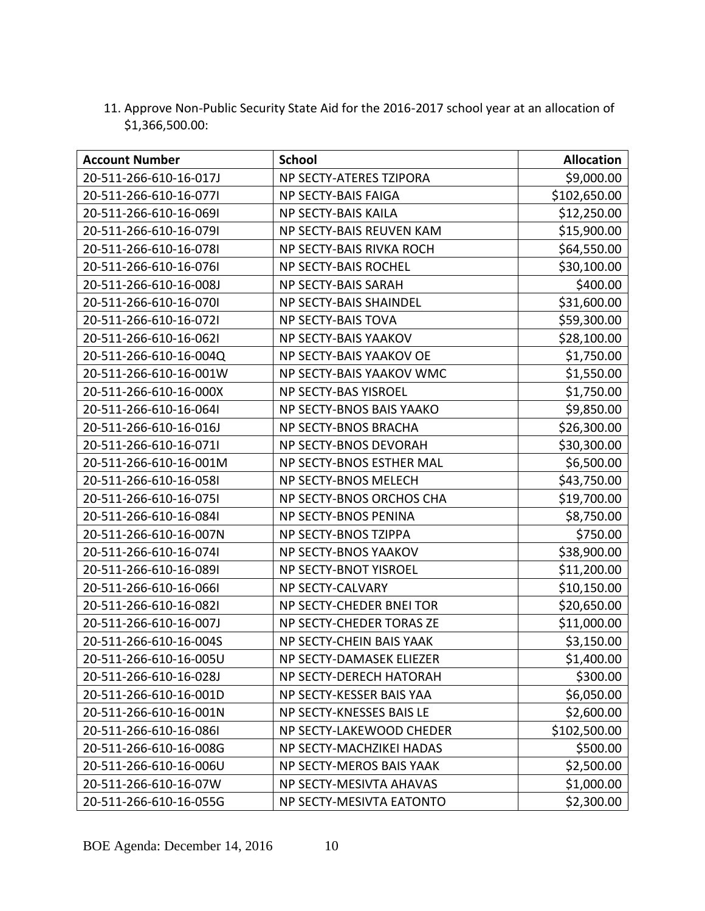11. Approve Non-Public Security State Aid for the 2016-2017 school year at an allocation of \$1,366,500.00:

| <b>Account Number</b>  | <b>School</b>               | <b>Allocation</b> |
|------------------------|-----------------------------|-------------------|
| 20-511-266-610-16-017J | NP SECTY-ATERES TZIPORA     | \$9,000.00        |
| 20-511-266-610-16-0771 | NP SECTY-BAIS FAIGA         | \$102,650.00      |
| 20-511-266-610-16-069I | <b>NP SECTY-BAIS KAILA</b>  | \$12,250.00       |
| 20-511-266-610-16-079I | NP SECTY-BAIS REUVEN KAM    | \$15,900.00       |
| 20-511-266-610-16-078I | NP SECTY-BAIS RIVKA ROCH    | \$64,550.00       |
| 20-511-266-610-16-076I | NP SECTY-BAIS ROCHEL        | \$30,100.00       |
| 20-511-266-610-16-008J | NP SECTY-BAIS SARAH         | \$400.00          |
| 20-511-266-610-16-070I | NP SECTY-BAIS SHAINDEL      | \$31,600.00       |
| 20-511-266-610-16-0721 | NP SECTY-BAIS TOVA          | \$59,300.00       |
| 20-511-266-610-16-0621 | <b>NP SECTY-BAIS YAAKOV</b> | \$28,100.00       |
| 20-511-266-610-16-004Q | NP SECTY-BAIS YAAKOV OE     | \$1,750.00        |
| 20-511-266-610-16-001W | NP SECTY-BAIS YAAKOV WMC    | \$1,550.00        |
| 20-511-266-610-16-000X | NP SECTY-BAS YISROEL        | \$1,750.00        |
| 20-511-266-610-16-064  | NP SECTY-BNOS BAIS YAAKO    | \$9,850.00        |
| 20-511-266-610-16-016J | NP SECTY-BNOS BRACHA        | \$26,300.00       |
| 20-511-266-610-16-071  | NP SECTY-BNOS DEVORAH       | \$30,300.00       |
| 20-511-266-610-16-001M | NP SECTY-BNOS ESTHER MAL    | \$6,500.00        |
| 20-511-266-610-16-058I | NP SECTY-BNOS MELECH        | \$43,750.00       |
| 20-511-266-610-16-0751 | NP SECTY-BNOS ORCHOS CHA    | \$19,700.00       |
| 20-511-266-610-16-084I | NP SECTY-BNOS PENINA        | \$8,750.00        |
| 20-511-266-610-16-007N | NP SECTY-BNOS TZIPPA        | \$750.00          |
| 20-511-266-610-16-074I | NP SECTY-BNOS YAAKOV        | \$38,900.00       |
| 20-511-266-610-16-089I | NP SECTY-BNOT YISROEL       | \$11,200.00       |
| 20-511-266-610-16-066  | NP SECTY-CALVARY            | \$10,150.00       |
| 20-511-266-610-16-082I | NP SECTY-CHEDER BNEI TOR    | \$20,650.00       |
| 20-511-266-610-16-007J | NP SECTY-CHEDER TORAS ZE    | \$11,000.00       |
| 20-511-266-610-16-004S | NP SECTY-CHEIN BAIS YAAK    | \$3,150.00        |
| 20-511-266-610-16-005U | NP SECTY-DAMASEK ELIEZER    | \$1,400.00        |
| 20-511-266-610-16-028J | NP SECTY-DERECH HATORAH     | \$300.00          |
| 20-511-266-610-16-001D | NP SECTY-KESSER BAIS YAA    | \$6,050.00        |
| 20-511-266-610-16-001N | NP SECTY-KNESSES BAIS LE    | \$2,600.00        |
| 20-511-266-610-16-086I | NP SECTY-LAKEWOOD CHEDER    | \$102,500.00      |
| 20-511-266-610-16-008G | NP SECTY-MACHZIKEI HADAS    | \$500.00          |
| 20-511-266-610-16-006U | NP SECTY-MEROS BAIS YAAK    | \$2,500.00        |
| 20-511-266-610-16-07W  | NP SECTY-MESIVTA AHAVAS     | \$1,000.00        |
| 20-511-266-610-16-055G | NP SECTY-MESIVTA EATONTO    | \$2,300.00        |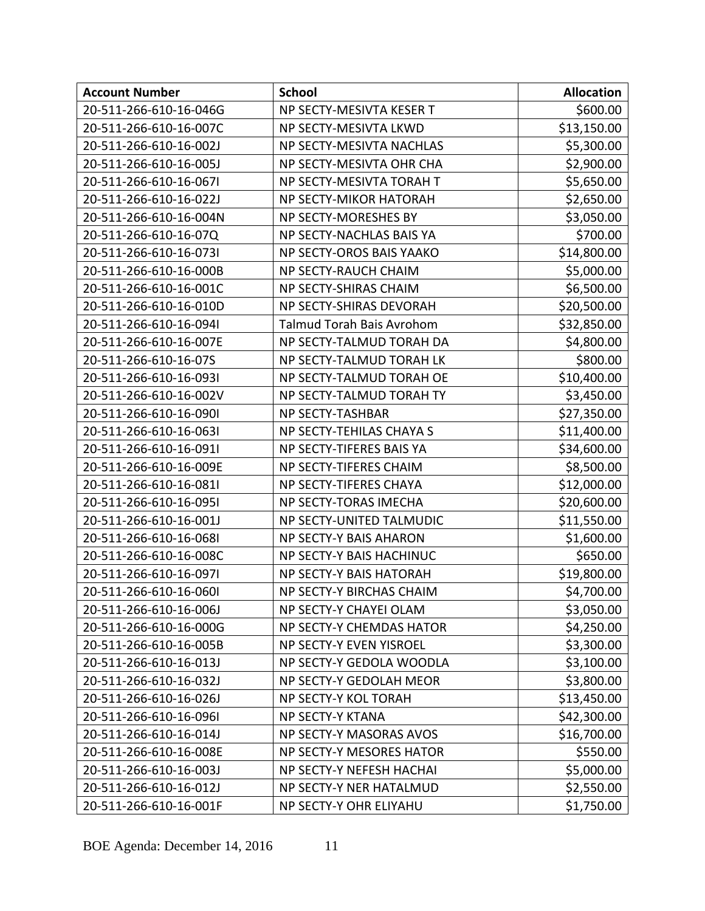| <b>Account Number</b>  | <b>School</b>                    | <b>Allocation</b> |
|------------------------|----------------------------------|-------------------|
| 20-511-266-610-16-046G | NP SECTY-MESIVTA KESER T         | \$600.00          |
| 20-511-266-610-16-007C | NP SECTY-MESIVTA LKWD            | \$13,150.00       |
| 20-511-266-610-16-002J | NP SECTY-MESIVTA NACHLAS         | \$5,300.00        |
| 20-511-266-610-16-005J | NP SECTY-MESIVTA OHR CHA         | \$2,900.00        |
| 20-511-266-610-16-067I | NP SECTY-MESIVTA TORAH T         | \$5,650.00        |
| 20-511-266-610-16-022J | NP SECTY-MIKOR HATORAH           | \$2,650.00        |
| 20-511-266-610-16-004N | NP SECTY-MORESHES BY             | \$3,050.00        |
| 20-511-266-610-16-07Q  | NP SECTY-NACHLAS BAIS YA         | \$700.00          |
| 20-511-266-610-16-073I | NP SECTY-OROS BAIS YAAKO         | \$14,800.00       |
| 20-511-266-610-16-000B | NP SECTY-RAUCH CHAIM             | \$5,000.00        |
| 20-511-266-610-16-001C | NP SECTY-SHIRAS CHAIM            | \$6,500.00        |
| 20-511-266-610-16-010D | NP SECTY-SHIRAS DEVORAH          | \$20,500.00       |
| 20-511-266-610-16-094  | <b>Talmud Torah Bais Avrohom</b> | \$32,850.00       |
| 20-511-266-610-16-007E | NP SECTY-TALMUD TORAH DA         | \$4,800.00        |
| 20-511-266-610-16-07S  | NP SECTY-TALMUD TORAH LK         | \$800.00          |
| 20-511-266-610-16-093I | NP SECTY-TALMUD TORAH OE         | \$10,400.00       |
| 20-511-266-610-16-002V | NP SECTY-TALMUD TORAH TY         | \$3,450.00        |
| 20-511-266-610-16-090I | <b>NP SECTY-TASHBAR</b>          | \$27,350.00       |
| 20-511-266-610-16-063I | NP SECTY-TEHILAS CHAYA S         | \$11,400.00       |
| 20-511-266-610-16-091  | NP SECTY-TIFERES BAIS YA         | \$34,600.00       |
| 20-511-266-610-16-009E | NP SECTY-TIFERES CHAIM           | \$8,500.00        |
| 20-511-266-610-16-081  | NP SECTY-TIFERES CHAYA           | \$12,000.00       |
| 20-511-266-610-16-095I | NP SECTY-TORAS IMECHA            | \$20,600.00       |
| 20-511-266-610-16-001J | NP SECTY-UNITED TALMUDIC         | \$11,550.00       |
| 20-511-266-610-16-068I | NP SECTY-Y BAIS AHARON           | \$1,600.00        |
| 20-511-266-610-16-008C | NP SECTY-Y BAIS HACHINUC         | \$650.00          |
| 20-511-266-610-16-097I | NP SECTY-Y BAIS HATORAH          | \$19,800.00       |
| 20-511-266-610-16-060I | <b>NP SECTY-Y BIRCHAS CHAIM</b>  | \$4,700.00        |
| 20-511-266-610-16-006J | NP SECTY-Y CHAYEI OLAM           | \$3,050.00        |
| 20-511-266-610-16-000G | NP SECTY-Y CHEMDAS HATOR         | \$4,250.00        |
| 20-511-266-610-16-005B | NP SECTY-Y EVEN YISROEL          | \$3,300.00        |
| 20-511-266-610-16-013J | NP SECTY-Y GEDOLA WOODLA         | \$3,100.00        |
| 20-511-266-610-16-032J | NP SECTY-Y GEDOLAH MEOR          | \$3,800.00        |
| 20-511-266-610-16-026J | NP SECTY-Y KOL TORAH             | \$13,450.00       |
| 20-511-266-610-16-096  | <b>NP SECTY-Y KTANA</b>          | \$42,300.00       |
| 20-511-266-610-16-014J | <b>NP SECTY-Y MASORAS AVOS</b>   | \$16,700.00       |
| 20-511-266-610-16-008E | NP SECTY-Y MESORES HATOR         | \$550.00          |
| 20-511-266-610-16-003J | NP SECTY-Y NEFESH HACHAI         | \$5,000.00        |
| 20-511-266-610-16-012J | NP SECTY-Y NER HATALMUD          | \$2,550.00        |
| 20-511-266-610-16-001F | NP SECTY-Y OHR ELIYAHU           | \$1,750.00        |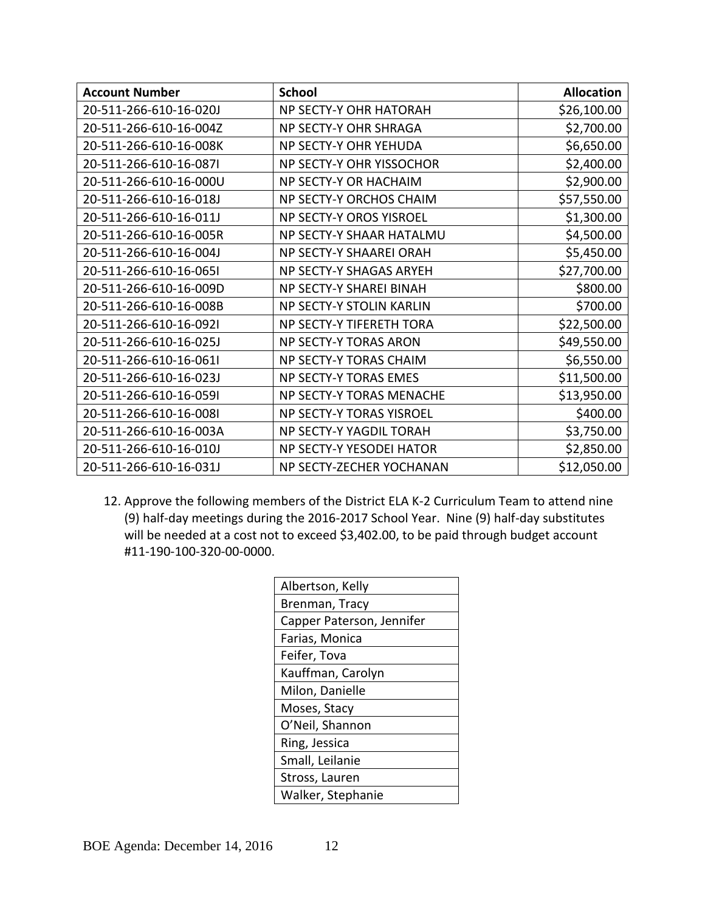| <b>Account Number</b>  | <b>School</b>            | <b>Allocation</b> |
|------------------------|--------------------------|-------------------|
| 20-511-266-610-16-020J | NP SECTY-Y OHR HATORAH   | \$26,100.00       |
| 20-511-266-610-16-004Z | NP SECTY-Y OHR SHRAGA    | \$2,700.00        |
| 20-511-266-610-16-008K | NP SECTY-Y OHR YEHUDA    | \$6,650.00        |
| 20-511-266-610-16-087I | NP SECTY-Y OHR YISSOCHOR | \$2,400.00        |
| 20-511-266-610-16-000U | NP SECTY-Y OR HACHAIM    | \$2,900.00        |
| 20-511-266-610-16-018J | NP SECTY-Y ORCHOS CHAIM  | \$57,550.00       |
| 20-511-266-610-16-011J | NP SECTY-Y OROS YISROEL  | \$1,300.00        |
| 20-511-266-610-16-005R | NP SECTY-Y SHAAR HATALMU | \$4,500.00        |
| 20-511-266-610-16-004J | NP SECTY-Y SHAAREI ORAH  | \$5,450.00        |
| 20-511-266-610-16-065I | NP SECTY-Y SHAGAS ARYEH  | \$27,700.00       |
| 20-511-266-610-16-009D | NP SECTY-Y SHAREI BINAH  | \$800.00          |
| 20-511-266-610-16-008B | NP SECTY-Y STOLIN KARLIN | \$700.00          |
| 20-511-266-610-16-0921 | NP SECTY-Y TIFERETH TORA | \$22,500.00       |
| 20-511-266-610-16-025J | NP SECTY-Y TORAS ARON    | \$49,550.00       |
| 20-511-266-610-16-061  | NP SECTY-Y TORAS CHAIM   | \$6,550.00        |
| 20-511-266-610-16-023J | NP SECTY-Y TORAS EMES    | \$11,500.00       |
| 20-511-266-610-16-059I | NP SECTY-Y TORAS MENACHE | \$13,950.00       |
| 20-511-266-610-16-008I | NP SECTY-Y TORAS YISROEL | \$400.00          |
| 20-511-266-610-16-003A | NP SECTY-Y YAGDIL TORAH  | \$3,750.00        |
| 20-511-266-610-16-010J | NP SECTY-Y YESODEI HATOR | \$2,850.00        |
| 20-511-266-610-16-031J | NP SECTY-ZECHER YOCHANAN | \$12,050.00       |

12. Approve the following members of the District ELA K-2 Curriculum Team to attend nine (9) half-day meetings during the 2016-2017 School Year. Nine (9) half-day substitutes will be needed at a cost not to exceed \$3,402.00, to be paid through budget account #11-190-100-320-00-0000.

| Albertson, Kelly          |
|---------------------------|
| Brenman, Tracy            |
| Capper Paterson, Jennifer |
| Farias, Monica            |
| Feifer, Tova              |
| Kauffman, Carolyn         |
| Milon, Danielle           |
| Moses, Stacy              |
| O'Neil, Shannon           |
| Ring, Jessica             |
| Small, Leilanie           |
| Stross, Lauren            |
| Walker, Stephanie         |
|                           |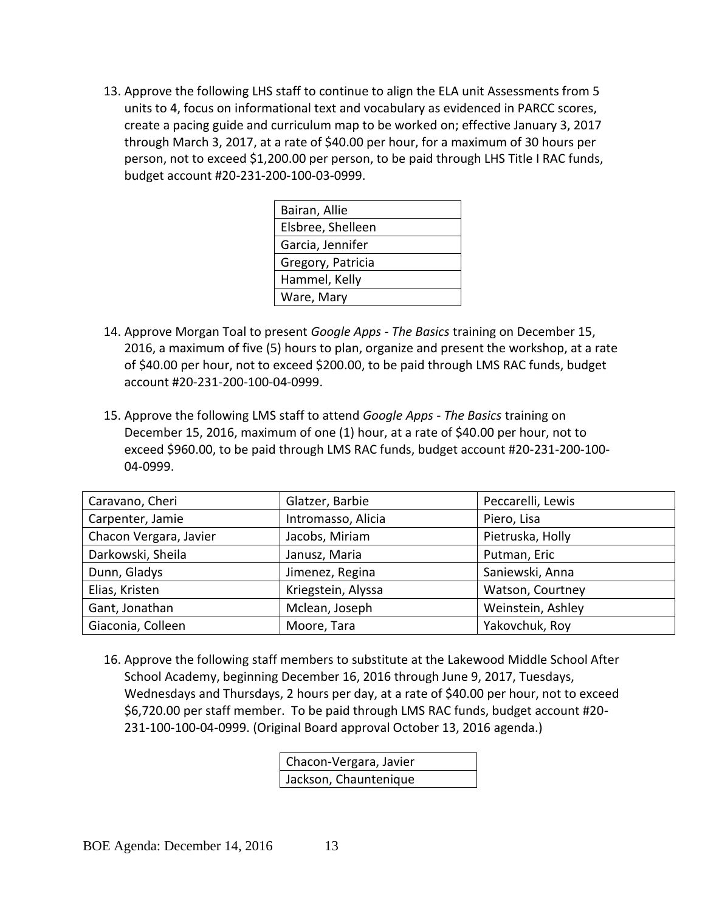13. Approve the following LHS staff to continue to align the ELA unit Assessments from 5 units to 4, focus on informational text and vocabulary as evidenced in PARCC scores, create a pacing guide and curriculum map to be worked on; effective January 3, 2017 through March 3, 2017, at a rate of \$40.00 per hour, for a maximum of 30 hours per person, not to exceed \$1,200.00 per person, to be paid through LHS Title I RAC funds, budget account #20-231-200-100-03-0999.

| Bairan, Allie     |
|-------------------|
| Elsbree, Shelleen |
| Garcia, Jennifer  |
| Gregory, Patricia |
| Hammel, Kelly     |
| Ware, Mary        |
|                   |

- 14. Approve Morgan Toal to present *Google Apps - The Basics* training on December 15, 2016, a maximum of five (5) hours to plan, organize and present the workshop, at a rate of \$40.00 per hour, not to exceed \$200.00, to be paid through LMS RAC funds, budget account #20-231-200-100-04-0999.
- 15. Approve the following LMS staff to attend *Google Apps - The Basics* training on December 15, 2016, maximum of one (1) hour, at a rate of \$40.00 per hour, not to exceed \$960.00, to be paid through LMS RAC funds, budget account #20-231-200-100- 04-0999.

| Caravano, Cheri        | Glatzer, Barbie    | Peccarelli, Lewis |
|------------------------|--------------------|-------------------|
| Carpenter, Jamie       | Intromasso, Alicia | Piero, Lisa       |
| Chacon Vergara, Javier | Jacobs, Miriam     | Pietruska, Holly  |
| Darkowski, Sheila      | Janusz, Maria      | Putman, Eric      |
| Dunn, Gladys           | Jimenez, Regina    | Saniewski, Anna   |
| Elias, Kristen         | Kriegstein, Alyssa | Watson, Courtney  |
| Gant, Jonathan         | Mclean, Joseph     | Weinstein, Ashley |
| Giaconia, Colleen      | Moore, Tara        | Yakovchuk, Roy    |

16. Approve the following staff members to substitute at the Lakewood Middle School After School Academy, beginning December 16, 2016 through June 9, 2017, Tuesdays, Wednesdays and Thursdays, 2 hours per day, at a rate of \$40.00 per hour, not to exceed \$6,720.00 per staff member. To be paid through LMS RAC funds, budget account #20- 231-100-100-04-0999. (Original Board approval October 13, 2016 agenda.)

> Chacon-Vergara, Javier Jackson, Chauntenique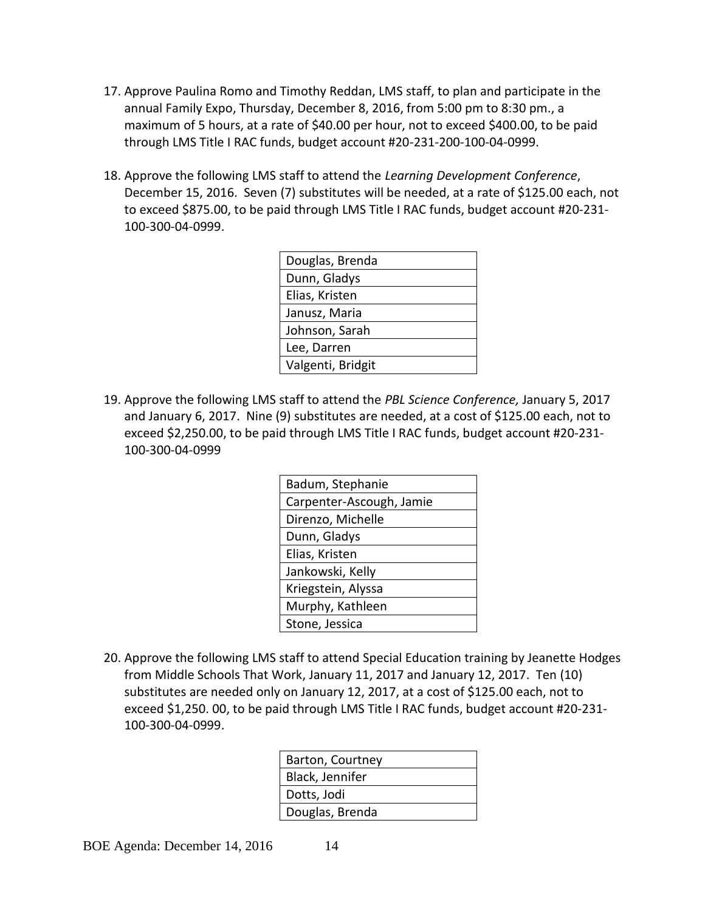- 17. Approve Paulina Romo and Timothy Reddan, LMS staff, to plan and participate in the annual Family Expo, Thursday, December 8, 2016, from 5:00 pm to 8:30 pm., a maximum of 5 hours, at a rate of \$40.00 per hour, not to exceed \$400.00, to be paid through LMS Title I RAC funds, budget account #20-231-200-100-04-0999.
- 18. Approve the following LMS staff to attend the *Learning Development Conference*, December 15, 2016. Seven (7) substitutes will be needed, at a rate of \$125.00 each, not to exceed \$875.00, to be paid through LMS Title I RAC funds, budget account #20-231- 100-300-04-0999.

| Douglas, Brenda   |
|-------------------|
| Dunn, Gladys      |
| Elias, Kristen    |
| Janusz, Maria     |
| Johnson, Sarah    |
| Lee, Darren       |
| Valgenti, Bridgit |

19. Approve the following LMS staff to attend the *PBL Science Conference,* January 5, 2017 and January 6, 2017. Nine (9) substitutes are needed, at a cost of \$125.00 each, not to exceed \$2,250.00, to be paid through LMS Title I RAC funds, budget account #20-231- 100-300-04-0999

| Badum, Stephanie         |
|--------------------------|
| Carpenter-Ascough, Jamie |
| Direnzo, Michelle        |
| Dunn, Gladys             |
| Elias, Kristen           |
| Jankowski, Kelly         |
| Kriegstein, Alyssa       |
| Murphy, Kathleen         |
| Stone, Jessica           |

20. Approve the following LMS staff to attend Special Education training by Jeanette Hodges from Middle Schools That Work, January 11, 2017 and January 12, 2017. Ten (10) substitutes are needed only on January 12, 2017, at a cost of \$125.00 each, not to exceed \$1,250. 00, to be paid through LMS Title I RAC funds, budget account #20-231- 100-300-04-0999.

| Barton, Courtney |
|------------------|
| Black, Jennifer  |
| Dotts, Jodi      |
| Douglas, Brenda  |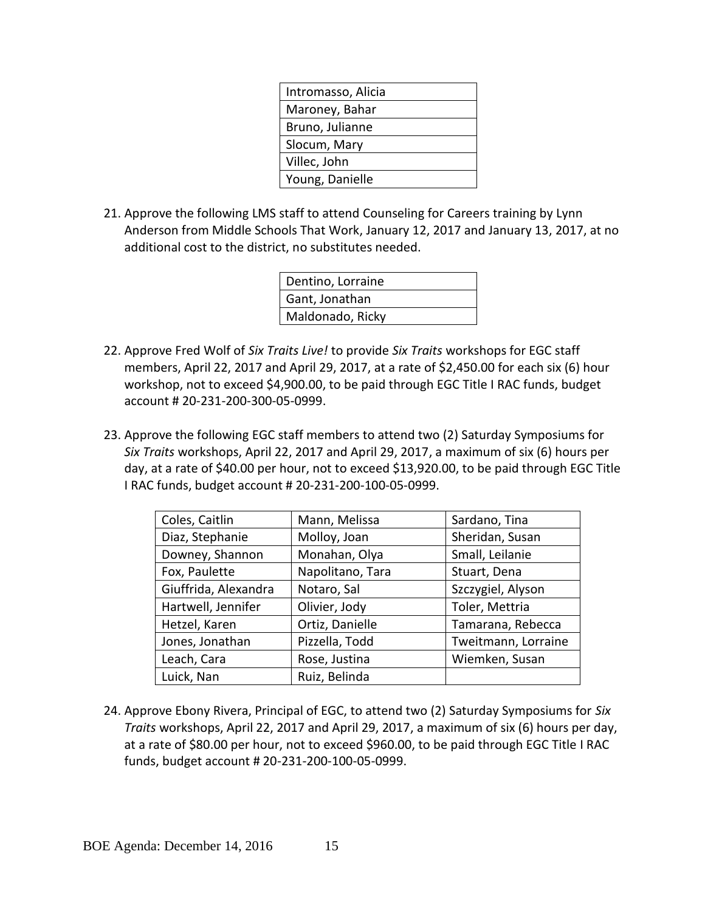| Intromasso, Alicia |
|--------------------|
| Maroney, Bahar     |
| Bruno, Julianne    |
| Slocum, Mary       |
| Villec, John       |
| Young, Danielle    |
|                    |

21. Approve the following LMS staff to attend Counseling for Careers training by Lynn Anderson from Middle Schools That Work, January 12, 2017 and January 13, 2017, at no additional cost to the district, no substitutes needed.

| Dentino, Lorraine |
|-------------------|
| Gant, Jonathan    |
| Maldonado, Ricky  |

- 22. Approve Fred Wolf of *Six Traits Live!* to provide *Six Traits* workshops for EGC staff members, April 22, 2017 and April 29, 2017, at a rate of \$2,450.00 for each six (6) hour workshop, not to exceed \$4,900.00, to be paid through EGC Title I RAC funds, budget account # 20-231-200-300-05-0999.
- 23. Approve the following EGC staff members to attend two (2) Saturday Symposiums for *Six Traits* workshops, April 22, 2017 and April 29, 2017, a maximum of six (6) hours per day, at a rate of \$40.00 per hour, not to exceed \$13,920.00, to be paid through EGC Title I RAC funds, budget account # 20-231-200-100-05-0999.

| Coles, Caitlin       | Mann, Melissa    | Sardano, Tina       |
|----------------------|------------------|---------------------|
| Diaz, Stephanie      | Molloy, Joan     | Sheridan, Susan     |
| Downey, Shannon      | Monahan, Olya    | Small, Leilanie     |
| Fox, Paulette        | Napolitano, Tara | Stuart, Dena        |
| Giuffrida, Alexandra | Notaro, Sal      | Szczygiel, Alyson   |
| Hartwell, Jennifer   | Olivier, Jody    | Toler, Mettria      |
| Hetzel, Karen        | Ortiz, Danielle  | Tamarana, Rebecca   |
| Jones, Jonathan      | Pizzella, Todd   | Tweitmann, Lorraine |
| Leach, Cara          | Rose, Justina    | Wiemken, Susan      |
| Luick, Nan           | Ruiz, Belinda    |                     |

24. Approve Ebony Rivera, Principal of EGC, to attend two (2) Saturday Symposiums for *Six Traits* workshops, April 22, 2017 and April 29, 2017, a maximum of six (6) hours per day, at a rate of \$80.00 per hour, not to exceed \$960.00, to be paid through EGC Title I RAC funds, budget account # 20-231-200-100-05-0999.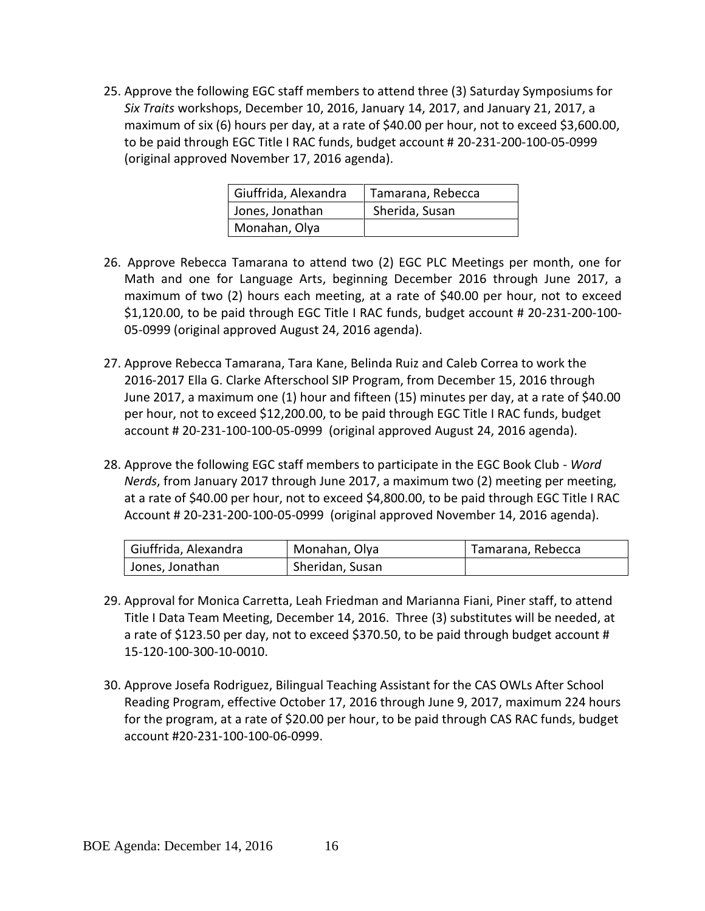25. Approve the following EGC staff members to attend three (3) Saturday Symposiums for *Six Traits* workshops, December 10, 2016, January 14, 2017, and January 21, 2017, a maximum of six (6) hours per day, at a rate of \$40.00 per hour, not to exceed \$3,600.00, to be paid through EGC Title I RAC funds, budget account # 20-231-200-100-05-0999 (original approved November 17, 2016 agenda).

| Giuffrida, Alexandra | Tamarana, Rebecca |
|----------------------|-------------------|
| Jones, Jonathan      | Sherida, Susan    |
| Monahan, Olya        |                   |

- 26. Approve Rebecca Tamarana to attend two (2) EGC PLC Meetings per month, one for Math and one for Language Arts, beginning December 2016 through June 2017, a maximum of two (2) hours each meeting, at a rate of \$40.00 per hour, not to exceed \$1,120.00, to be paid through EGC Title I RAC funds, budget account # 20-231-200-100- 05-0999 (original approved August 24, 2016 agenda).
- 27. Approve Rebecca Tamarana, Tara Kane, Belinda Ruiz and Caleb Correa to work the 2016-2017 Ella G. Clarke Afterschool SIP Program, from December 15, 2016 through June 2017, a maximum one (1) hour and fifteen (15) minutes per day, at a rate of \$40.00 per hour, not to exceed \$12,200.00, to be paid through EGC Title I RAC funds, budget account # 20-231-100-100-05-0999 (original approved August 24, 2016 agenda).
- 28. Approve the following EGC staff members to participate in the EGC Book Club *Word Nerds*, from January 2017 through June 2017, a maximum two (2) meeting per meeting, at a rate of \$40.00 per hour, not to exceed \$4,800.00, to be paid through EGC Title I RAC Account # 20-231-200-100-05-0999 (original approved November 14, 2016 agenda).

| Giuffrida, Alexandra<br>Monahan, Olya |                 | Tamarana, Rebecca |
|---------------------------------------|-----------------|-------------------|
| Jones, Jonathan                       | Sheridan, Susan |                   |

- 29. Approval for Monica Carretta, Leah Friedman and Marianna Fiani, Piner staff, to attend Title I Data Team Meeting, December 14, 2016. Three (3) substitutes will be needed, at a rate of \$123.50 per day, not to exceed \$370.50, to be paid through budget account # 15-120-100-300-10-0010.
- 30. Approve Josefa Rodriguez, Bilingual Teaching Assistant for the CAS OWLs After School Reading Program, effective October 17, 2016 through June 9, 2017, maximum 224 hours for the program, at a rate of \$20.00 per hour, to be paid through CAS RAC funds, budget account #20-231-100-100-06-0999.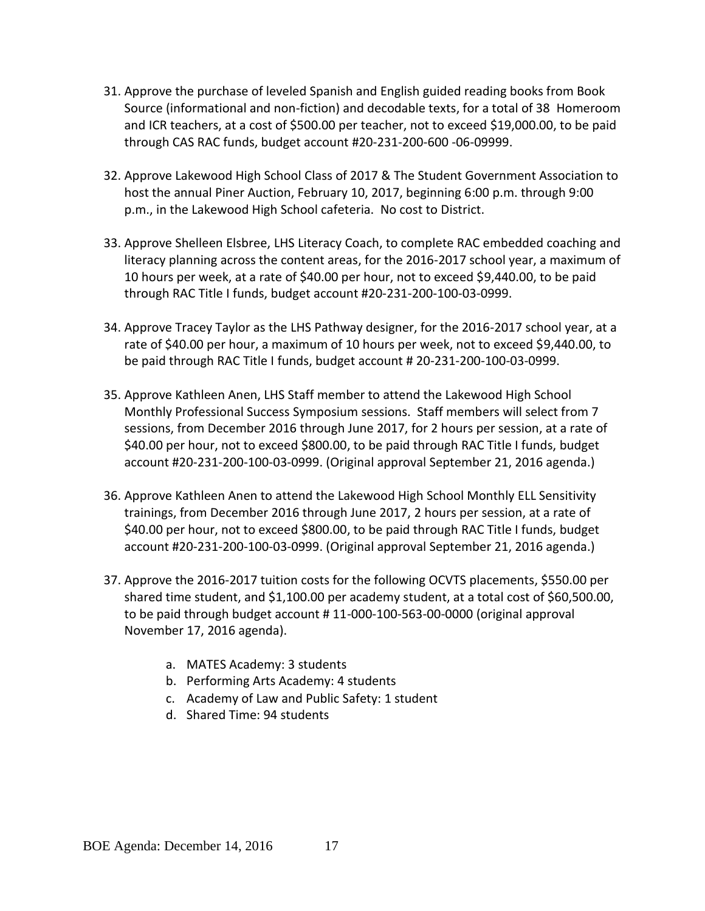- 31. Approve the purchase of leveled Spanish and English guided reading books from Book Source (informational and non-fiction) and decodable texts, for a total of 38 Homeroom and ICR teachers, at a cost of \$500.00 per teacher, not to exceed \$19,000.00, to be paid through CAS RAC funds, budget account #20-231-200-600 -06-09999.
- 32. Approve Lakewood High School Class of 2017 & The Student Government Association to host the annual Piner Auction, February 10, 2017, beginning 6:00 p.m. through 9:00 p.m., in the Lakewood High School cafeteria. No cost to District.
- 33. Approve Shelleen Elsbree, LHS Literacy Coach, to complete RAC embedded coaching and literacy planning across the content areas, for the 2016-2017 school year, a maximum of 10 hours per week, at a rate of \$40.00 per hour, not to exceed \$9,440.00, to be paid through RAC Title I funds, budget account #20-231-200-100-03-0999.
- 34. Approve Tracey Taylor as the LHS Pathway designer, for the 2016-2017 school year, at a rate of \$40.00 per hour, a maximum of 10 hours per week, not to exceed \$9,440.00, to be paid through RAC Title I funds, budget account # 20-231-200-100-03-0999.
- 35. Approve Kathleen Anen, LHS Staff member to attend the Lakewood High School Monthly Professional Success Symposium sessions. Staff members will select from 7 sessions, from December 2016 through June 2017, for 2 hours per session, at a rate of \$40.00 per hour, not to exceed \$800.00, to be paid through RAC Title I funds, budget account #20-231-200-100-03-0999. (Original approval September 21, 2016 agenda.)
- 36. Approve Kathleen Anen to attend the Lakewood High School Monthly ELL Sensitivity trainings, from December 2016 through June 2017, 2 hours per session, at a rate of \$40.00 per hour, not to exceed \$800.00, to be paid through RAC Title I funds, budget account #20-231-200-100-03-0999. (Original approval September 21, 2016 agenda.)
- 37. Approve the 2016-2017 tuition costs for the following OCVTS placements, \$550.00 per shared time student, and \$1,100.00 per academy student, at a total cost of \$60,500.00, to be paid through budget account # 11-000-100-563-00-0000 (original approval November 17, 2016 agenda).
	- a. MATES Academy: 3 students
	- b. Performing Arts Academy: 4 students
	- c. Academy of Law and Public Safety: 1 student
	- d. Shared Time: 94 students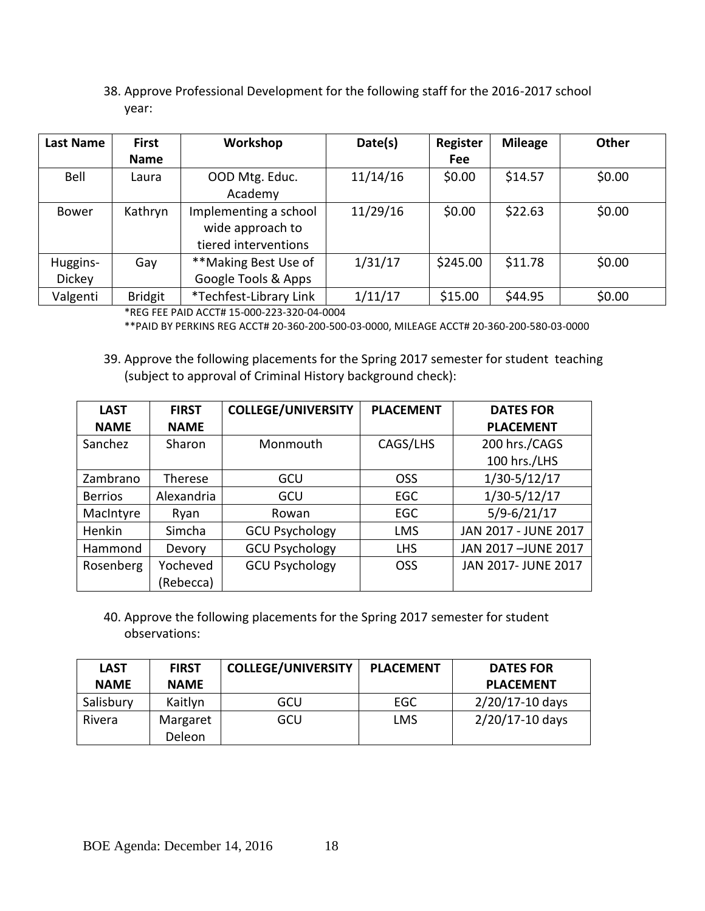38. Approve Professional Development for the following staff for the 2016-2017 school year:

| <b>Last Name</b> | <b>First</b>   | Workshop               | Date(s)  | Register   | <b>Mileage</b> | <b>Other</b> |
|------------------|----------------|------------------------|----------|------------|----------------|--------------|
|                  | <b>Name</b>    |                        |          | <b>Fee</b> |                |              |
| Bell             | Laura          | OOD Mtg. Educ.         | 11/14/16 | \$0.00     | \$14.57        | \$0.00       |
|                  |                | Academy                |          |            |                |              |
| <b>Bower</b>     | Kathryn        | Implementing a school  | 11/29/16 | \$0.00     | \$22.63        | \$0.00       |
|                  |                | wide approach to       |          |            |                |              |
|                  |                | tiered interventions   |          |            |                |              |
| Huggins-         | Gay            | **Making Best Use of   | 1/31/17  | \$245.00   | \$11.78        | \$0.00       |
| <b>Dickey</b>    |                | Google Tools & Apps    |          |            |                |              |
| Valgenti         | <b>Bridgit</b> | *Techfest-Library Link | 1/11/17  | \$15.00    | \$44.95        | \$0.00       |

\*REG FEE PAID ACCT# 15-000-223-320-04-0004

\*\*PAID BY PERKINS REG ACCT# 20-360-200-500-03-0000, MILEAGE ACCT# 20-360-200-580-03-0000

39. Approve the following placements for the Spring 2017 semester for student teaching (subject to approval of Criminal History background check):

| <b>LAST</b>    | <b>FIRST</b> | <b>COLLEGE/UNIVERSITY</b> | <b>PLACEMENT</b> | <b>DATES FOR</b>     |
|----------------|--------------|---------------------------|------------------|----------------------|
| <b>NAME</b>    | <b>NAME</b>  |                           |                  | <b>PLACEMENT</b>     |
| Sanchez        | Sharon       | Monmouth                  | CAGS/LHS         | 200 hrs./CAGS        |
|                |              |                           |                  | 100 hrs./LHS         |
| Zambrano       | Therese      | GCU                       | <b>OSS</b>       | $1/30 - 5/12/17$     |
| <b>Berrios</b> | Alexandria   | GCU                       | <b>EGC</b>       | $1/30 - 5/12/17$     |
| MacIntyre      | Ryan         | Rowan                     | <b>EGC</b>       | $5/9 - 6/21/17$      |
| Henkin         | Simcha       | <b>GCU Psychology</b>     | <b>LMS</b>       | JAN 2017 - JUNE 2017 |
| Hammond        | Devory       | <b>GCU Psychology</b>     | <b>LHS</b>       | JAN 2017-JUNE 2017   |
| Rosenberg      | Yocheved     | <b>GCU Psychology</b>     | <b>OSS</b>       | JAN 2017- JUNE 2017  |
|                | (Rebecca)    |                           |                  |                      |

40. Approve the following placements for the Spring 2017 semester for student observations:

| <b>LAST</b> | <b>FIRST</b> | <b>COLLEGE/UNIVERSITY</b> | <b>PLACEMENT</b> | <b>DATES FOR</b> |
|-------------|--------------|---------------------------|------------------|------------------|
| <b>NAME</b> | <b>NAME</b>  |                           |                  | <b>PLACEMENT</b> |
| Salisbury   | Kaitlyn      | GCU                       | EGC              | 2/20/17-10 days  |
| Rivera      | Margaret     | GCU                       | LMS              | 2/20/17-10 days  |
|             | Deleon       |                           |                  |                  |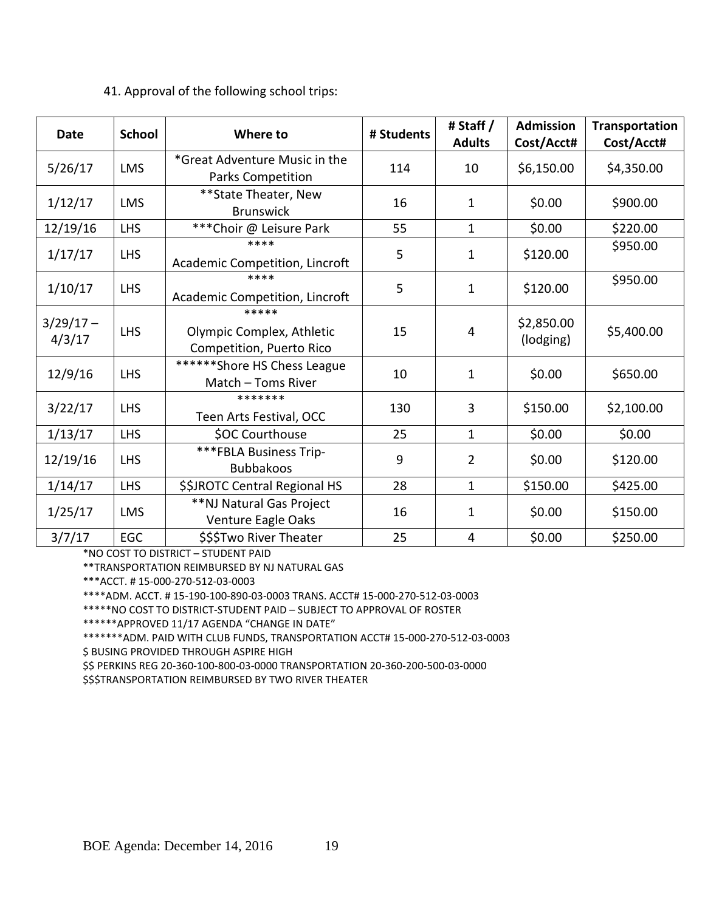#### **Date School Where to # Students # Staff / Adults Admission Cost/Acct# Transportation Cost/Acct#** 5/26/17 LMS \*Great Adventure Music in the Parks Competition  $\begin{vmatrix} 114 & 10 & 56,150.00 & 54,350.00 \end{vmatrix}$  $1/12/17$  LMS  $\begin{array}{|c|c|} \hline \end{array}$  \*\*State Theater, New  $B$ runswick  $16$  1  $1$  \$0.00 \$900.00 12/19/16 | LHS | \*\*\*Choir @ Leisure Park | 55 | 1 | \$0.00 | \$220.00  $1/17/17$  LHS  $***$ Academic Competition, Lincroft  $\begin{vmatrix} 5 & 1 & 1 \\ 1 & 1 & 1 \end{vmatrix}$  \$120.00 \$950.00  $1/10/17$  LHS \*\*\*\* Academic Competition, Lincroft  $\begin{vmatrix} 5 & 1 & 1 \\ 1 & 5 & 120.00 \end{vmatrix}$  \$950.00  $3/29/17 4/3/17$  LHS \*\*\*\*\* Olympic Complex, Athletic Competition, Puerto Rico 15 4 \$2,850.00  $\binom{12,00000}{100}$  \$5,400.00 12/9/16 LHS \*\*\*\*\*\*Shore HS Chess League Match – Toms River  $\begin{vmatrix} 10 & 1 \\ 1 & 1 \end{vmatrix}$  \$0.00  $\begin{vmatrix} 5650.00 \\ 1 & 5650.00 \end{vmatrix}$ 3/22/17 LHS \*\*\*\*\*\*\* Teen Arts Festival, OCC <sup>130</sup> <sup>3</sup> \$150.00 \$2,100.00  $1/13/17$  LHS  $\bigcirc$  SOC Courthouse  $\bigcirc$  25  $\bigcirc$  1  $\bigcirc$  \$0.00  $\bigcirc$  \$0.00 12/19/16  $\Big\vert$  LHS  $\Big\vert$  \*\*\*FBLA Business Trip-<br>Bubbakoos Bubbakoos <sup>9</sup> <sup>2</sup> \$0.00 \$120.00  $1/14/17$  | LHS | \$\$JROTC Central Regional HS | 28 | 1 | \$150.00 | \$425.00 1/25/17 LMS \*\*NJ Natural Gas Project Venture Eagle Oaks  $\begin{vmatrix} 16 & 1 \end{vmatrix}$   $\begin{vmatrix} 1 & 30.00 \end{vmatrix}$  \$150.00  $3/7/17$  EGC  $\vert$  \$\$\$Two River Theater  $\vert$  25  $\vert$  4  $\vert$  \$0.00  $\vert$  \$250.00

# 41. Approval of the following school trips:

\*NO COST TO DISTRICT – STUDENT PAID

\*\*TRANSPORTATION REIMBURSED BY NJ NATURAL GAS

\*\*\*ACCT. # 15-000-270-512-03-0003

\*\*\*\*ADM. ACCT. # 15-190-100-890-03-0003 TRANS. ACCT# 15-000-270-512-03-0003

\*\*\*\*\*NO COST TO DISTRICT-STUDENT PAID – SUBJECT TO APPROVAL OF ROSTER

\*\*\*\*\*\*APPROVED 11/17 AGENDA "CHANGE IN DATE"

\*\*\*\*\*\*\*ADM. PAID WITH CLUB FUNDS, TRANSPORTATION ACCT# 15-000-270-512-03-0003

\$ BUSING PROVIDED THROUGH ASPIRE HIGH

\$\$ PERKINS REG 20-360-100-800-03-0000 TRANSPORTATION 20-360-200-500-03-0000

\$\$\$TRANSPORTATION REIMBURSED BY TWO RIVER THEATER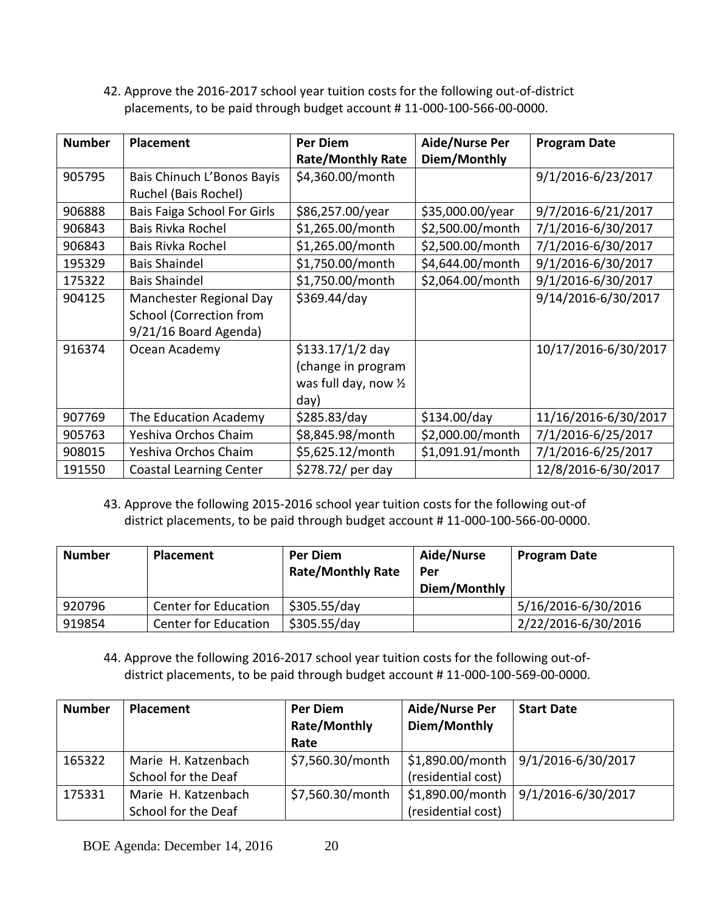42. Approve the 2016-2017 school year tuition costs for the following out-of-district placements, to be paid through budget account # 11-000-100-566-00-0000.

| <b>Number</b> | Placement                                                                          | <b>Per Diem</b><br><b>Rate/Monthly Rate</b>                                       | Aide/Nurse Per<br>Diem/Monthly | <b>Program Date</b>  |
|---------------|------------------------------------------------------------------------------------|-----------------------------------------------------------------------------------|--------------------------------|----------------------|
| 905795        | Bais Chinuch L'Bonos Bayis<br>Ruchel (Bais Rochel)                                 | \$4,360.00/month                                                                  |                                | 9/1/2016-6/23/2017   |
| 906888        | Bais Faiga School For Girls                                                        | \$86,257.00/year                                                                  | \$35,000.00/year               | 9/7/2016-6/21/2017   |
| 906843        | Bais Rivka Rochel                                                                  | \$1,265.00/month                                                                  | \$2,500.00/month               | 7/1/2016-6/30/2017   |
| 906843        | Bais Rivka Rochel                                                                  | \$1,265.00/month                                                                  | \$2,500.00/month               | 7/1/2016-6/30/2017   |
| 195329        | <b>Bais Shaindel</b>                                                               | \$1,750.00/month                                                                  | \$4,644.00/month               | 9/1/2016-6/30/2017   |
| 175322        | <b>Bais Shaindel</b>                                                               | \$1,750.00/month                                                                  | \$2,064.00/month               | 9/1/2016-6/30/2017   |
| 904125        | Manchester Regional Day<br><b>School (Correction from</b><br>9/21/16 Board Agenda) | \$369.44/day                                                                      |                                | 9/14/2016-6/30/2017  |
| 916374        | Ocean Academy                                                                      | \$133.17/1/2 day<br>(change in program<br>was full day, now $\frac{1}{2}$<br>day) |                                | 10/17/2016-6/30/2017 |
| 907769        | The Education Academy                                                              | \$285.83/day                                                                      | \$134.00/day                   | 11/16/2016-6/30/2017 |
| 905763        | Yeshiva Orchos Chaim                                                               | \$8,845.98/month                                                                  | \$2,000.00/month               | 7/1/2016-6/25/2017   |
| 908015        | Yeshiva Orchos Chaim                                                               | \$5,625.12/month                                                                  | \$1,091.91/month               | 7/1/2016-6/25/2017   |
| 191550        | <b>Coastal Learning Center</b>                                                     | \$278.72/ per day                                                                 |                                | 12/8/2016-6/30/2017  |

43. Approve the following 2015-2016 school year tuition costs for the following out-of district placements, to be paid through budget account # 11-000-100-566-00-0000.

| <b>Number</b> | <b>Placement</b>            | <b>Per Diem</b><br><b>Rate/Monthly Rate</b> | Aide/Nurse<br>Per<br>Diem/Monthly | <b>Program Date</b> |
|---------------|-----------------------------|---------------------------------------------|-----------------------------------|---------------------|
| 920796        | <b>Center for Education</b> | \$305.55/day                                |                                   | 5/16/2016-6/30/2016 |
| 919854        | <b>Center for Education</b> | \$305.55/day                                |                                   | 2/22/2016-6/30/2016 |

44. Approve the following 2016-2017 school year tuition costs for the following out-ofdistrict placements, to be paid through budget account # 11-000-100-569-00-0000.

| <b>Number</b> | Placement           | Per Diem<br>Rate/Monthly<br>Rate | Aide/Nurse Per<br>Diem/Monthly | <b>Start Date</b>  |
|---------------|---------------------|----------------------------------|--------------------------------|--------------------|
| 165322        | Marie H. Katzenbach | \$7,560.30/month                 | \$1,890.00/month               | 9/1/2016-6/30/2017 |
|               | School for the Deaf |                                  | (residential cost)             |                    |
| 175331        | Marie H. Katzenbach | \$7,560.30/month                 | \$1,890.00/month               | 9/1/2016-6/30/2017 |
|               | School for the Deaf |                                  | (residential cost)             |                    |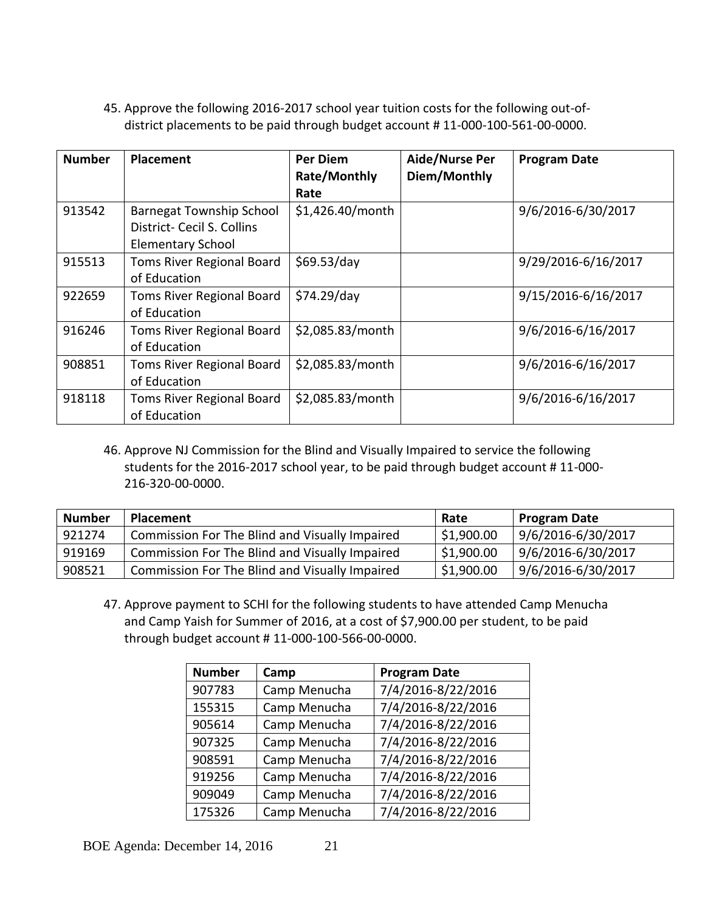45. Approve the following 2016-2017 school year tuition costs for the following out-ofdistrict placements to be paid through budget account # 11-000-100-561-00-0000.

| <b>Number</b> | Placement                                                                                 | Per Diem<br>Rate/Monthly<br>Rate | Aide/Nurse Per<br>Diem/Monthly | <b>Program Date</b> |
|---------------|-------------------------------------------------------------------------------------------|----------------------------------|--------------------------------|---------------------|
| 913542        | <b>Barnegat Township School</b><br>District- Cecil S. Collins<br><b>Elementary School</b> | \$1,426.40/month                 |                                | 9/6/2016-6/30/2017  |
| 915513        | Toms River Regional Board<br>of Education                                                 | \$69.53/day                      |                                | 9/29/2016-6/16/2017 |
| 922659        | Toms River Regional Board<br>of Education                                                 | \$74.29/day                      |                                | 9/15/2016-6/16/2017 |
| 916246        | Toms River Regional Board<br>of Education                                                 | \$2,085.83/month                 |                                | 9/6/2016-6/16/2017  |
| 908851        | Toms River Regional Board<br>of Education                                                 | \$2,085.83/month                 |                                | 9/6/2016-6/16/2017  |
| 918118        | Toms River Regional Board<br>of Education                                                 | \$2,085.83/month                 |                                | 9/6/2016-6/16/2017  |

46. Approve NJ Commission for the Blind and Visually Impaired to service the following students for the 2016-2017 school year, to be paid through budget account # 11-000- 216-320-00-0000.

| <b>Number</b> | <b>Placement</b>                               | Rate       | <b>Program Date</b> |
|---------------|------------------------------------------------|------------|---------------------|
| 921274        | Commission For The Blind and Visually Impaired | \$1,900.00 | 9/6/2016-6/30/2017  |
| 919169        | Commission For The Blind and Visually Impaired | \$1,900.00 | 9/6/2016-6/30/2017  |
| 908521        | Commission For The Blind and Visually Impaired | \$1,900.00 | 9/6/2016-6/30/2017  |

47. Approve payment to SCHI for the following students to have attended Camp Menucha and Camp Yaish for Summer of 2016, at a cost of \$7,900.00 per student, to be paid through budget account # 11-000-100-566-00-0000.

| <b>Number</b> | Camp         | <b>Program Date</b> |
|---------------|--------------|---------------------|
| 907783        | Camp Menucha | 7/4/2016-8/22/2016  |
| 155315        | Camp Menucha | 7/4/2016-8/22/2016  |
| 905614        | Camp Menucha | 7/4/2016-8/22/2016  |
| 907325        | Camp Menucha | 7/4/2016-8/22/2016  |
| 908591        | Camp Menucha | 7/4/2016-8/22/2016  |
| 919256        | Camp Menucha | 7/4/2016-8/22/2016  |
| 909049        | Camp Menucha | 7/4/2016-8/22/2016  |
| 175326        | Camp Menucha | 7/4/2016-8/22/2016  |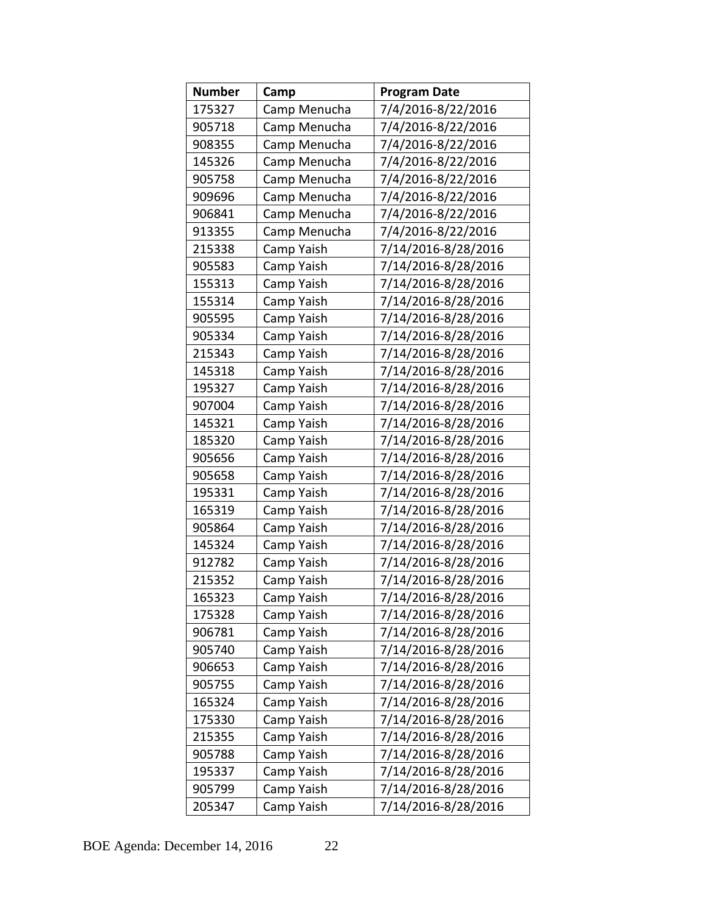| <b>Number</b> | Camp         | <b>Program Date</b> |
|---------------|--------------|---------------------|
| 175327        | Camp Menucha | 7/4/2016-8/22/2016  |
| 905718        | Camp Menucha | 7/4/2016-8/22/2016  |
| 908355        | Camp Menucha | 7/4/2016-8/22/2016  |
| 145326        | Camp Menucha | 7/4/2016-8/22/2016  |
| 905758        | Camp Menucha | 7/4/2016-8/22/2016  |
| 909696        | Camp Menucha | 7/4/2016-8/22/2016  |
| 906841        | Camp Menucha | 7/4/2016-8/22/2016  |
| 913355        | Camp Menucha | 7/4/2016-8/22/2016  |
| 215338        | Camp Yaish   | 7/14/2016-8/28/2016 |
| 905583        | Camp Yaish   | 7/14/2016-8/28/2016 |
| 155313        | Camp Yaish   | 7/14/2016-8/28/2016 |
| 155314        | Camp Yaish   | 7/14/2016-8/28/2016 |
| 905595        | Camp Yaish   | 7/14/2016-8/28/2016 |
| 905334        | Camp Yaish   | 7/14/2016-8/28/2016 |
| 215343        | Camp Yaish   | 7/14/2016-8/28/2016 |
| 145318        | Camp Yaish   | 7/14/2016-8/28/2016 |
| 195327        | Camp Yaish   | 7/14/2016-8/28/2016 |
| 907004        | Camp Yaish   | 7/14/2016-8/28/2016 |
| 145321        | Camp Yaish   | 7/14/2016-8/28/2016 |
| 185320        | Camp Yaish   | 7/14/2016-8/28/2016 |
| 905656        | Camp Yaish   | 7/14/2016-8/28/2016 |
| 905658        | Camp Yaish   | 7/14/2016-8/28/2016 |
| 195331        | Camp Yaish   | 7/14/2016-8/28/2016 |
| 165319        | Camp Yaish   | 7/14/2016-8/28/2016 |
| 905864        | Camp Yaish   | 7/14/2016-8/28/2016 |
| 145324        | Camp Yaish   | 7/14/2016-8/28/2016 |
| 912782        | Camp Yaish   | 7/14/2016-8/28/2016 |
| 215352        | Camp Yaish   | 7/14/2016-8/28/2016 |
| 165323        | Camp Yaish   | 7/14/2016-8/28/2016 |
| 175328        | Camp Yaish   | 7/14/2016-8/28/2016 |
| 906781        | Camp Yaish   | 7/14/2016-8/28/2016 |
| 905740        | Camp Yaish   | 7/14/2016-8/28/2016 |
| 906653        | Camp Yaish   | 7/14/2016-8/28/2016 |
| 905755        | Camp Yaish   | 7/14/2016-8/28/2016 |
| 165324        | Camp Yaish   | 7/14/2016-8/28/2016 |
| 175330        | Camp Yaish   | 7/14/2016-8/28/2016 |
| 215355        | Camp Yaish   | 7/14/2016-8/28/2016 |
| 905788        | Camp Yaish   | 7/14/2016-8/28/2016 |
| 195337        | Camp Yaish   | 7/14/2016-8/28/2016 |
| 905799        | Camp Yaish   | 7/14/2016-8/28/2016 |
| 205347        | Camp Yaish   | 7/14/2016-8/28/2016 |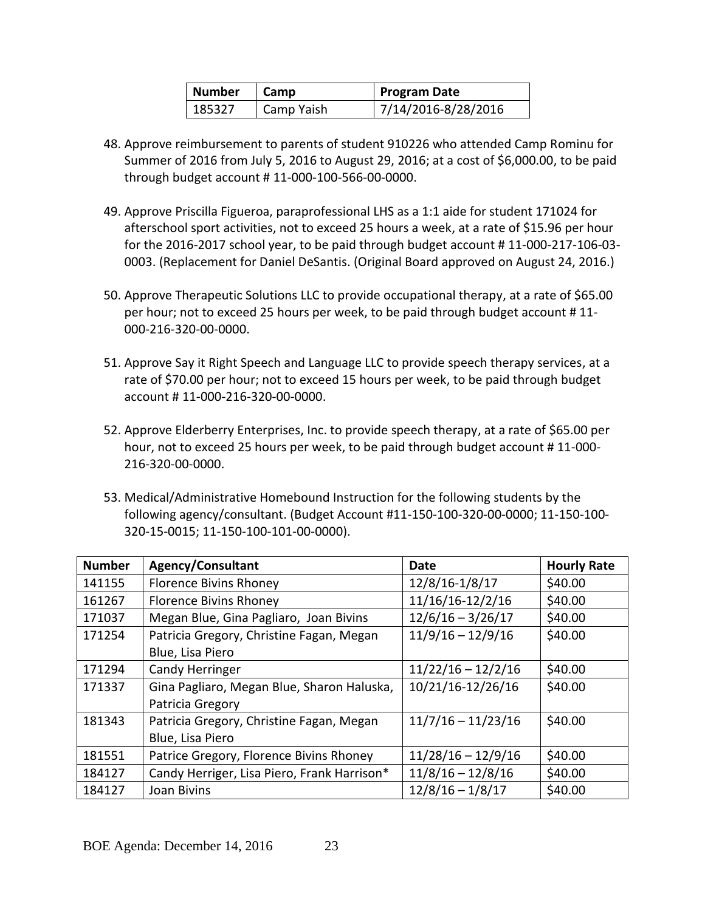| Number | Camp       | <b>Program Date</b> |
|--------|------------|---------------------|
| 185327 | Camp Yaish | 7/14/2016-8/28/2016 |

- 48. Approve reimbursement to parents of student 910226 who attended Camp Rominu for Summer of 2016 from July 5, 2016 to August 29, 2016; at a cost of \$6,000.00, to be paid through budget account # 11-000-100-566-00-0000.
- 49. Approve Priscilla Figueroa, paraprofessional LHS as a 1:1 aide for student 171024 for afterschool sport activities, not to exceed 25 hours a week, at a rate of \$15.96 per hour for the 2016-2017 school year, to be paid through budget account # 11-000-217-106-03- 0003. (Replacement for Daniel DeSantis. (Original Board approved on August 24, 2016.)
- 50. Approve Therapeutic Solutions LLC to provide occupational therapy, at a rate of \$65.00 per hour; not to exceed 25 hours per week, to be paid through budget account # 11- 000-216-320-00-0000.
- 51. Approve Say it Right Speech and Language LLC to provide speech therapy services, at a rate of \$70.00 per hour; not to exceed 15 hours per week, to be paid through budget account # 11-000-216-320-00-0000.
- 52. Approve Elderberry Enterprises, Inc. to provide speech therapy, at a rate of \$65.00 per hour, not to exceed 25 hours per week, to be paid through budget account # 11-000- 216-320-00-0000.
- 53. Medical/Administrative Homebound Instruction for the following students by the following agency/consultant. (Budget Account #11-150-100-320-00-0000; 11-150-100- 320-15-0015; 11-150-100-101-00-0000).

| <b>Number</b> | <b>Agency/Consultant</b>                    | Date                 | <b>Hourly Rate</b> |
|---------------|---------------------------------------------|----------------------|--------------------|
| 141155        | <b>Florence Bivins Rhoney</b>               | 12/8/16-1/8/17       | \$40.00            |
| 161267        | <b>Florence Bivins Rhoney</b>               | 11/16/16-12/2/16     | \$40.00            |
| 171037        | Megan Blue, Gina Pagliaro, Joan Bivins      | $12/6/16 - 3/26/17$  | \$40.00            |
| 171254        | Patricia Gregory, Christine Fagan, Megan    | $11/9/16 - 12/9/16$  | \$40.00            |
|               | Blue, Lisa Piero                            |                      |                    |
| 171294        | <b>Candy Herringer</b>                      | $11/22/16 - 12/2/16$ | \$40.00            |
| 171337        | Gina Pagliaro, Megan Blue, Sharon Haluska,  | 10/21/16-12/26/16    | \$40.00            |
|               | Patricia Gregory                            |                      |                    |
| 181343        | Patricia Gregory, Christine Fagan, Megan    | $11/7/16 - 11/23/16$ | \$40.00            |
|               | Blue, Lisa Piero                            |                      |                    |
| 181551        | Patrice Gregory, Florence Bivins Rhoney     | $11/28/16 - 12/9/16$ | \$40.00            |
| 184127        | Candy Herriger, Lisa Piero, Frank Harrison* | $11/8/16 - 12/8/16$  | \$40.00            |
| 184127        | Joan Bivins                                 | $12/8/16 - 1/8/17$   | \$40.00            |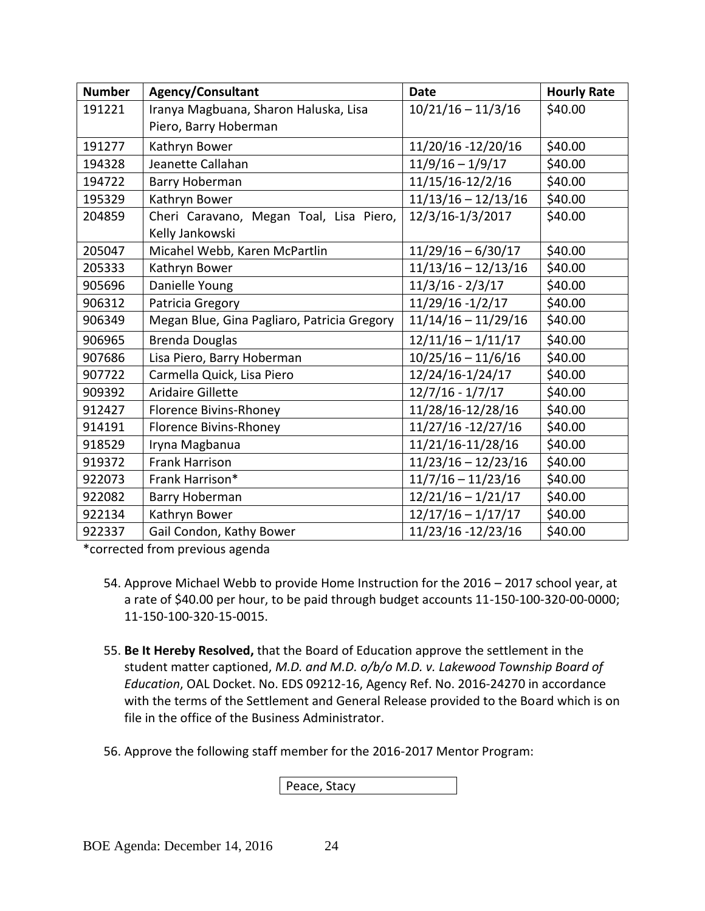| <b>Number</b> | Agency/Consultant                           | <b>Date</b>           | <b>Hourly Rate</b> |
|---------------|---------------------------------------------|-----------------------|--------------------|
| 191221        | Iranya Magbuana, Sharon Haluska, Lisa       | $10/21/16 - 11/3/16$  | \$40.00            |
|               | Piero, Barry Hoberman                       |                       |                    |
| 191277        | Kathryn Bower                               | 11/20/16 -12/20/16    | \$40.00            |
| 194328        | Jeanette Callahan                           | $11/9/16 - 1/9/17$    | \$40.00            |
| 194722        | Barry Hoberman                              | 11/15/16-12/2/16      | \$40.00            |
| 195329        | Kathryn Bower                               | $11/13/16 - 12/13/16$ | \$40.00            |
| 204859        | Cheri Caravano, Megan Toal, Lisa Piero,     | 12/3/16-1/3/2017      | \$40.00            |
|               | Kelly Jankowski                             |                       |                    |
| 205047        | Micahel Webb, Karen McPartlin               | $11/29/16 - 6/30/17$  | \$40.00            |
| 205333        | Kathryn Bower                               | $11/13/16 - 12/13/16$ | \$40.00            |
| 905696        | Danielle Young                              | $11/3/16 - 2/3/17$    | \$40.00            |
| 906312        | Patricia Gregory                            | 11/29/16 -1/2/17      | \$40.00            |
| 906349        | Megan Blue, Gina Pagliaro, Patricia Gregory | $11/14/16 - 11/29/16$ | \$40.00            |
| 906965        | <b>Brenda Douglas</b>                       | $12/11/16 - 1/11/17$  | \$40.00            |
| 907686        | Lisa Piero, Barry Hoberman                  | $10/25/16 - 11/6/16$  | \$40.00            |
| 907722        | Carmella Quick, Lisa Piero                  | 12/24/16-1/24/17      | \$40.00            |
| 909392        | <b>Aridaire Gillette</b>                    | $12/7/16 - 1/7/17$    | \$40.00            |
| 912427        | Florence Bivins-Rhoney                      | 11/28/16-12/28/16     | \$40.00            |
| 914191        | <b>Florence Bivins-Rhoney</b>               | 11/27/16 -12/27/16    | \$40.00            |
| 918529        | Iryna Magbanua                              | 11/21/16-11/28/16     | \$40.00            |
| 919372        | <b>Frank Harrison</b>                       | $11/23/16 - 12/23/16$ | \$40.00            |
| 922073        | Frank Harrison*                             | $11/7/16 - 11/23/16$  | \$40.00            |
| 922082        | Barry Hoberman                              | $12/21/16 - 1/21/17$  | \$40.00            |
| 922134        | Kathryn Bower                               | $12/17/16 - 1/17/17$  | \$40.00            |
| 922337        | Gail Condon, Kathy Bower                    | 11/23/16 -12/23/16    | \$40.00            |

\*corrected from previous agenda

- 54. Approve Michael Webb to provide Home Instruction for the 2016 2017 school year, at a rate of \$40.00 per hour, to be paid through budget accounts 11-150-100-320-00-0000; 11-150-100-320-15-0015.
- 55. **Be It Hereby Resolved,** that the Board of Education approve the settlement in the student matter captioned, *M.D. and M.D. o/b/o M.D. v. Lakewood Township Board of Education*, OAL Docket. No. EDS 09212-16, Agency Ref. No. 2016-24270 in accordance with the terms of the Settlement and General Release provided to the Board which is on file in the office of the Business Administrator.
- 56. Approve the following staff member for the 2016-2017 Mentor Program:

Peace, Stacy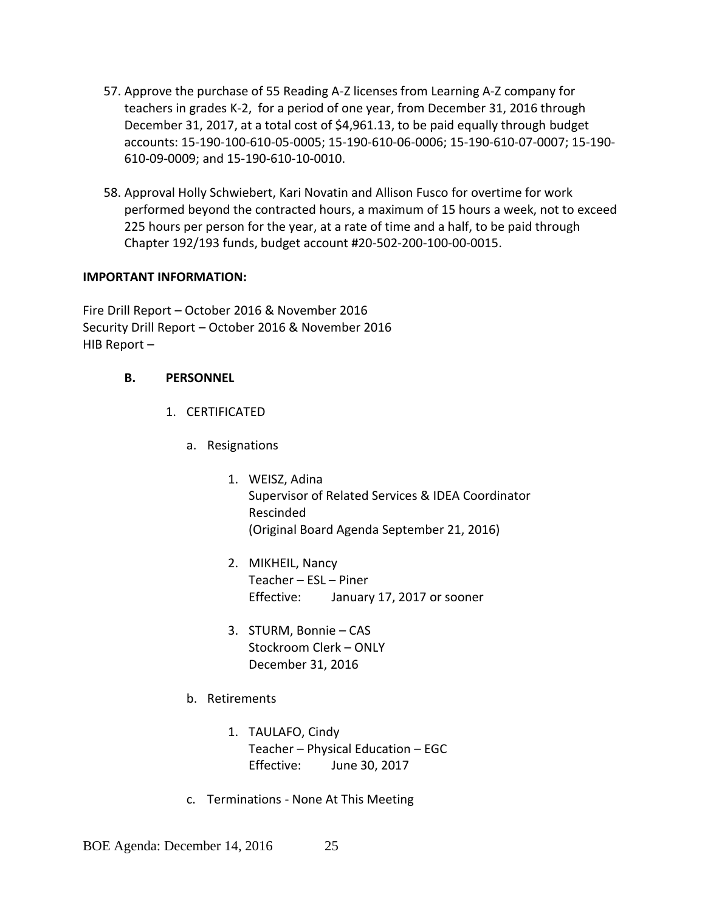- 57. Approve the purchase of 55 Reading A-Z licenses from Learning A-Z company for teachers in grades K-2, for a period of one year, from December 31, 2016 through December 31, 2017, at a total cost of \$4,961.13, to be paid equally through budget accounts: 15-190-100-610-05-0005; 15-190-610-06-0006; 15-190-610-07-0007; 15-190- 610-09-0009; and 15-190-610-10-0010.
- 58. Approval Holly Schwiebert, Kari Novatin and Allison Fusco for overtime for work performed beyond the contracted hours, a maximum of 15 hours a week, not to exceed 225 hours per person for the year, at a rate of time and a half, to be paid through Chapter 192/193 funds, budget account #20-502-200-100-00-0015.

### **IMPORTANT INFORMATION:**

Fire Drill Report – October 2016 & November 2016 Security Drill Report – October 2016 & November 2016 HIB Report –

### **B. PERSONNEL**

- 1. CERTIFICATED
	- a. Resignations
		- 1. WEISZ, Adina Supervisor of Related Services & IDEA Coordinator Rescinded (Original Board Agenda September 21, 2016)
		- 2. MIKHEIL, Nancy Teacher – ESL – Piner Effective: January 17, 2017 or sooner
		- 3. STURM, Bonnie CAS Stockroom Clerk – ONLY December 31, 2016
	- b. Retirements
		- 1. TAULAFO, Cindy Teacher – Physical Education – EGC Effective: June 30, 2017
	- c. Terminations None At This Meeting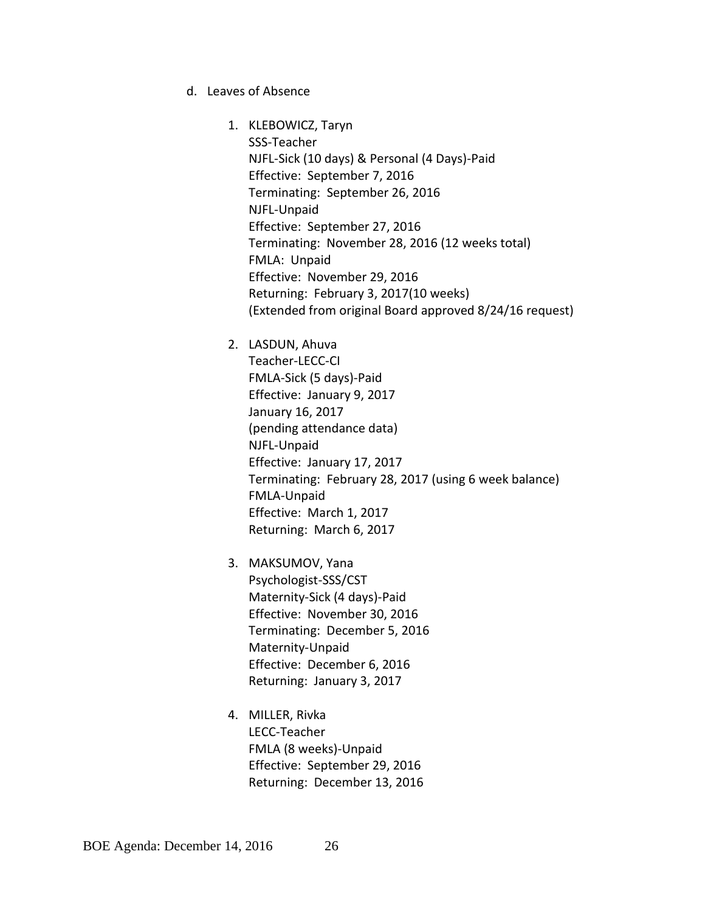d. Leaves of Absence

1. KLEBOWICZ, Taryn SSS-Teacher NJFL-Sick (10 days) & Personal (4 Days)-Paid Effective: September 7, 2016 Terminating: September 26, 2016 NJFL-Unpaid Effective: September 27, 2016 Terminating: November 28, 2016 (12 weeks total) FMLA: Unpaid Effective: November 29, 2016 Returning: February 3, 2017(10 weeks) (Extended from original Board approved 8/24/16 request)

2. LASDUN, Ahuva

Teacher-LECC-CI FMLA-Sick (5 days)-Paid Effective: January 9, 2017 January 16, 2017 (pending attendance data) NJFL-Unpaid Effective: January 17, 2017 Terminating: February 28, 2017 (using 6 week balance) FMLA-Unpaid Effective: March 1, 2017 Returning: March 6, 2017

- 3. MAKSUMOV, Yana Psychologist-SSS/CST Maternity-Sick (4 days)-Paid Effective: November 30, 2016 Terminating: December 5, 2016 Maternity-Unpaid Effective: December 6, 2016 Returning: January 3, 2017
- 4. MILLER, Rivka LECC-Teacher FMLA (8 weeks)-Unpaid Effective: September 29, 2016 Returning: December 13, 2016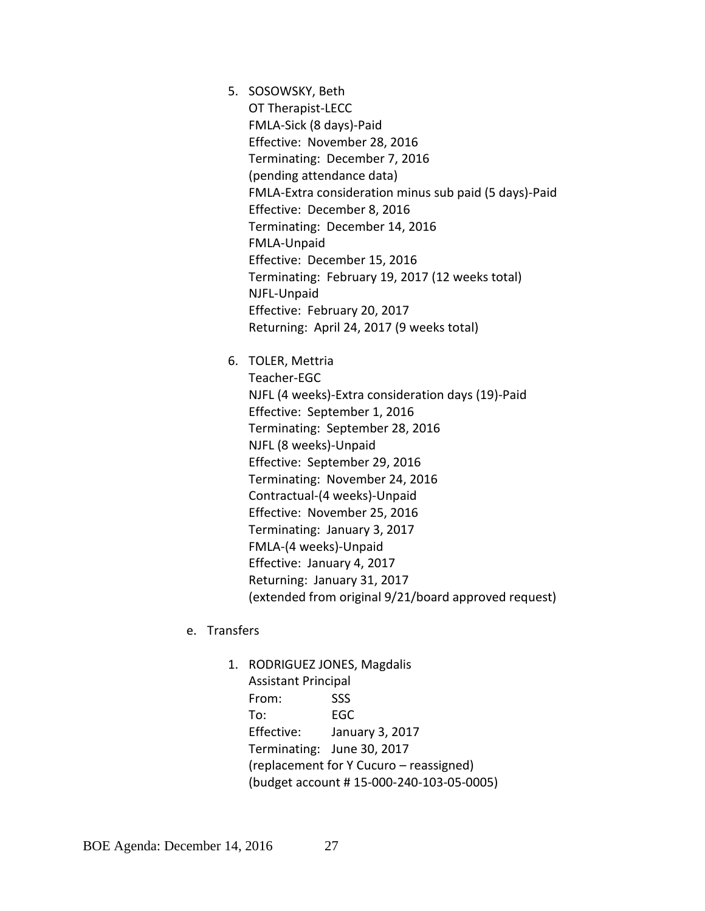5. SOSOWSKY, Beth

OT Therapist-LECC FMLA-Sick (8 days)-Paid Effective: November 28, 2016 Terminating: December 7, 2016 (pending attendance data) FMLA-Extra consideration minus sub paid (5 days)-Paid Effective: December 8, 2016 Terminating: December 14, 2016 FMLA-Unpaid Effective: December 15, 2016 Terminating: February 19, 2017 (12 weeks total) NJFL-Unpaid Effective: February 20, 2017 Returning: April 24, 2017 (9 weeks total)

6. TOLER, Mettria

Teacher-EGC NJFL (4 weeks)-Extra consideration days (19)-Paid Effective: September 1, 2016 Terminating: September 28, 2016 NJFL (8 weeks)-Unpaid Effective: September 29, 2016 Terminating: November 24, 2016 Contractual-(4 weeks)-Unpaid Effective: November 25, 2016 Terminating: January 3, 2017 FMLA-(4 weeks)-Unpaid Effective: January 4, 2017 Returning: January 31, 2017 (extended from original 9/21/board approved request)

- e. Transfers
	- 1. RODRIGUEZ JONES, Magdalis Assistant Principal From: SSS To: EGC Effective: January 3, 2017 Terminating: June 30, 2017 (replacement for Y Cucuro – reassigned) (budget account # 15-000-240-103-05-0005)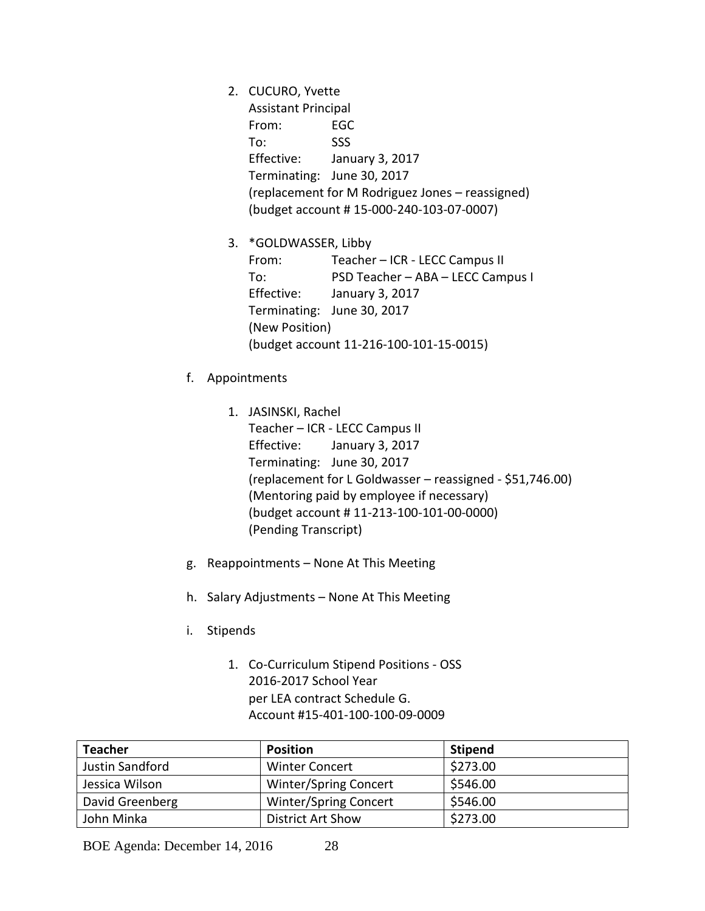2. CUCURO, Yvette Assistant Principal From: EGC To: SSS Effective: January 3, 2017 Terminating: June 30, 2017 (replacement for M Rodriguez Jones – reassigned) (budget account # 15-000-240-103-07-0007)

3. \*GOLDWASSER, Libby From: Teacher – ICR - LECC Campus II To: PSD Teacher – ABA – LECC Campus I Effective: January 3, 2017 Terminating: June 30, 2017 (New Position) (budget account 11-216-100-101-15-0015)

- f. Appointments
	- 1. JASINSKI, Rachel Teacher – ICR - LECC Campus II Effective: January 3, 2017 Terminating: June 30, 2017 (replacement for L Goldwasser – reassigned - \$51,746.00) (Mentoring paid by employee if necessary) (budget account # 11-213-100-101-00-0000) (Pending Transcript)
- g. Reappointments None At This Meeting
- h. Salary Adjustments None At This Meeting
- i. Stipends
	- 1. Co-Curriculum Stipend Positions OSS 2016-2017 School Year per LEA contract Schedule G. Account #15-401-100-100-09-0009

| <b>Teacher</b>  | <b>Position</b>              | <b>Stipend</b> |
|-----------------|------------------------------|----------------|
| Justin Sandford | <b>Winter Concert</b>        | \$273.00       |
| Jessica Wilson  | Winter/Spring Concert        | \$546.00       |
| David Greenberg | <b>Winter/Spring Concert</b> | \$546.00       |
| John Minka      | <b>District Art Show</b>     | \$273.00       |

BOE Agenda: December 14, 2016 28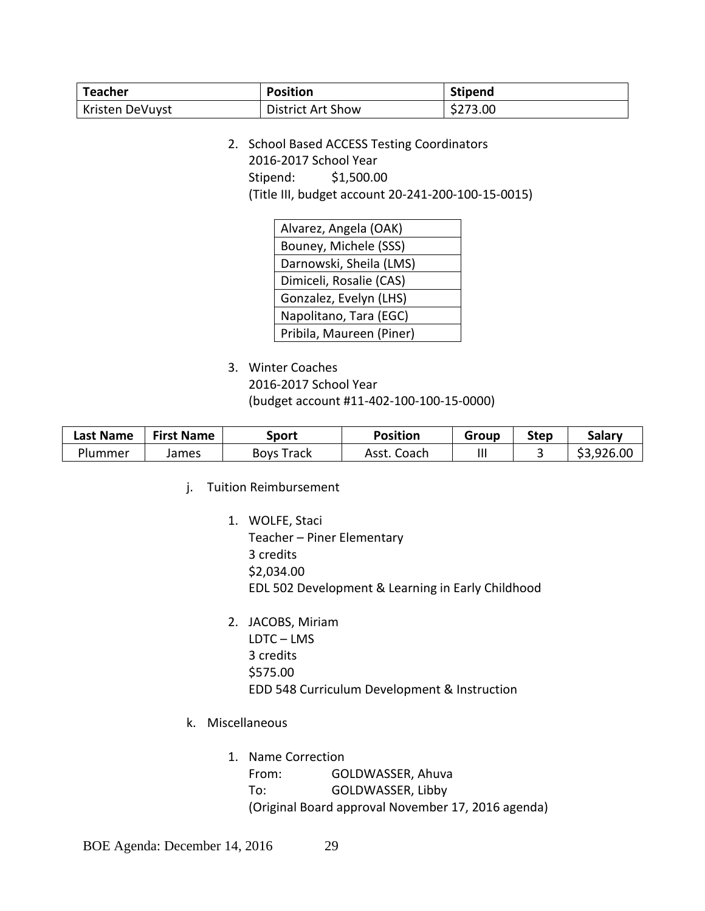| <b>Teacher</b>         | <b>Position</b>          | <b>Stipend</b> |
|------------------------|--------------------------|----------------|
| <b>Kristen DeVuyst</b> | <b>District Art Show</b> | \$273.00       |

2. School Based ACCESS Testing Coordinators 2016-2017 School Year Stipend: \$1,500.00 (Title III, budget account 20-241-200-100-15-0015)

| Alvarez, Angela (OAK)    |
|--------------------------|
| Bouney, Michele (SSS)    |
| Darnowski, Sheila (LMS)  |
| Dimiceli, Rosalie (CAS)  |
| Gonzalez, Evelyn (LHS)   |
| Napolitano, Tara (EGC)   |
| Pribila, Maureen (Piner) |
|                          |

3. Winter Coaches

2016-2017 School Year (budget account #11-402-100-100-15-0000)

| Last Name | <b>First Name</b> | Sport             | Position       | Group | <b>Step</b> | Salarv     |
|-----------|-------------------|-------------------|----------------|-------|-------------|------------|
| Plummer   | James             | <b>Boys Track</b> | Coach<br>Asst. | Ш     |             | \$3,926.00 |

- j. Tuition Reimbursement
	- 1. WOLFE, Staci Teacher – Piner Elementary 3 credits \$2,034.00 EDL 502 Development & Learning in Early Childhood
	- 2. JACOBS, Miriam LDTC – LMS 3 credits \$575.00 EDD 548 Curriculum Development & Instruction
- k. Miscellaneous
	- 1. Name Correction From: GOLDWASSER, Ahuva To: GOLDWASSER, Libby (Original Board approval November 17, 2016 agenda)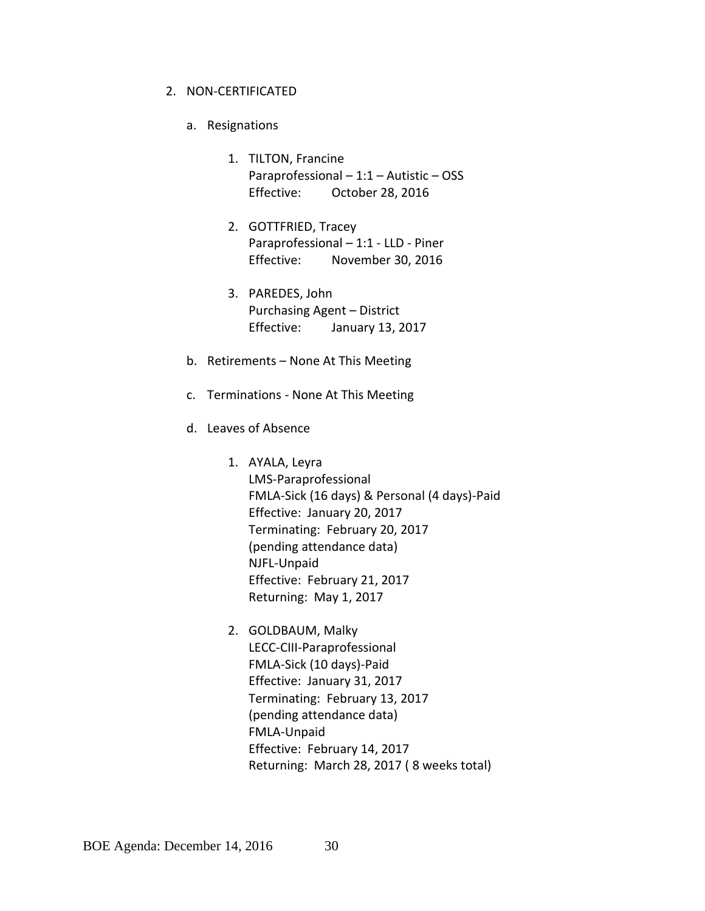#### 2. NON-CERTIFICATED

- a. Resignations
	- 1. TILTON, Francine Paraprofessional – 1:1 – Autistic – OSS Effective: October 28, 2016
	- 2. GOTTFRIED, Tracey Paraprofessional – 1:1 - LLD - Piner Effective: November 30, 2016
	- 3. PAREDES, John Purchasing Agent – District Effective: January 13, 2017
- b. Retirements None At This Meeting
- c. Terminations None At This Meeting
- d. Leaves of Absence
	- 1. AYALA, Leyra LMS-Paraprofessional FMLA-Sick (16 days) & Personal (4 days)-Paid Effective: January 20, 2017 Terminating: February 20, 2017 (pending attendance data) NJFL-Unpaid Effective: February 21, 2017 Returning: May 1, 2017
	- 2. GOLDBAUM, Malky LECC-CIII-Paraprofessional FMLA-Sick (10 days)-Paid Effective: January 31, 2017 Terminating: February 13, 2017 (pending attendance data) FMLA-Unpaid Effective: February 14, 2017 Returning: March 28, 2017 ( 8 weeks total)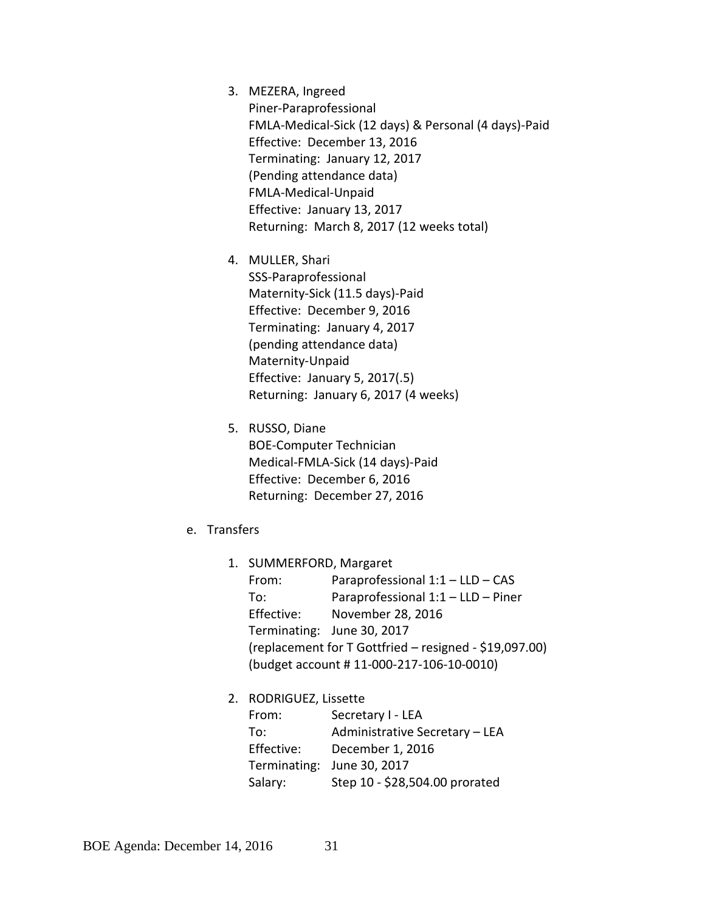- 3. MEZERA, Ingreed Piner-Paraprofessional FMLA-Medical-Sick (12 days) & Personal (4 days)-Paid Effective: December 13, 2016 Terminating: January 12, 2017 (Pending attendance data) FMLA-Medical-Unpaid Effective: January 13, 2017 Returning: March 8, 2017 (12 weeks total)
- 4. MULLER, Shari SSS-Paraprofessional Maternity-Sick (11.5 days)-Paid Effective: December 9, 2016 Terminating: January 4, 2017 (pending attendance data) Maternity-Unpaid Effective: January 5, 2017(.5) Returning: January 6, 2017 (4 weeks)
- 5. RUSSO, Diane BOE-Computer Technician Medical-FMLA-Sick (14 days)-Paid Effective: December 6, 2016 Returning: December 27, 2016
- e. Transfers
	- 1. SUMMERFORD, Margaret From: Paraprofessional 1:1 – LLD – CAS To: Paraprofessional 1:1 – LLD – Piner Effective: November 28, 2016 Terminating: June 30, 2017 (replacement for T Gottfried – resigned - \$19,097.00) (budget account # 11-000-217-106-10-0010)
	- 2. RODRIGUEZ, Lissette From: Secretary I - LEA To: Administrative Secretary – LEA Effective: December 1, 2016 Terminating: June 30, 2017 Salary: Step 10 - \$28,504.00 prorated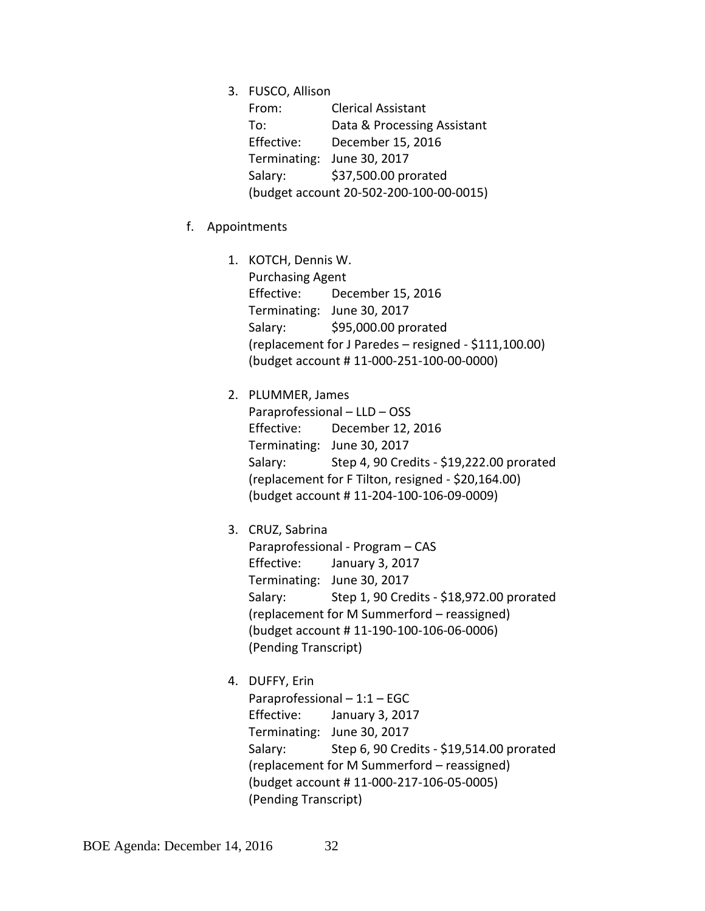3. FUSCO, Allison

| From:                                   | <b>Clerical Assistant</b>   |  |  |  |
|-----------------------------------------|-----------------------------|--|--|--|
| To:                                     | Data & Processing Assistant |  |  |  |
| Effective:                              | December 15, 2016           |  |  |  |
|                                         | Terminating: June 30, 2017  |  |  |  |
| Salary:                                 | \$37,500.00 prorated        |  |  |  |
| (budget account 20-502-200-100-00-0015) |                             |  |  |  |

- f. Appointments
	- 1. KOTCH, Dennis W. Purchasing Agent Effective: December 15, 2016 Terminating: June 30, 2017 Salary: \$95,000.00 prorated (replacement for J Paredes – resigned - \$111,100.00) (budget account # 11-000-251-100-00-0000)
	- 2. PLUMMER, James Paraprofessional – LLD – OSS Effective: December 12, 2016 Terminating: June 30, 2017 Salary: Step 4, 90 Credits - \$19,222.00 prorated (replacement for F Tilton, resigned - \$20,164.00) (budget account # 11-204-100-106-09-0009)
	- 3. CRUZ, Sabrina Paraprofessional - Program – CAS Effective: January 3, 2017 Terminating: June 30, 2017 Salary: Step 1, 90 Credits - \$18,972.00 prorated (replacement for M Summerford – reassigned) (budget account # 11-190-100-106-06-0006) (Pending Transcript)
	- 4. DUFFY, Erin Paraprofessional – 1:1 – EGC Effective: January 3, 2017 Terminating: June 30, 2017 Salary: Step 6, 90 Credits - \$19,514.00 prorated (replacement for M Summerford – reassigned) (budget account # 11-000-217-106-05-0005) (Pending Transcript)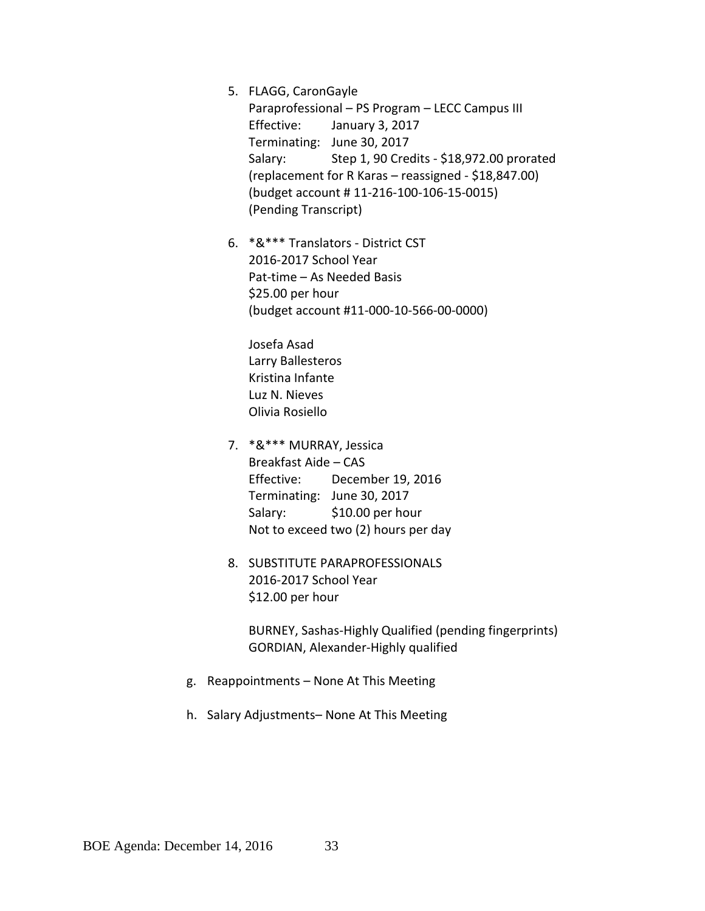5. FLAGG, CaronGayle

Paraprofessional – PS Program – LECC Campus III Effective: January 3, 2017 Terminating: June 30, 2017 Salary: Step 1, 90 Credits - \$18,972.00 prorated (replacement for R Karas – reassigned - \$18,847.00) (budget account # 11-216-100-106-15-0015) (Pending Transcript)

6. \*&\*\*\* Translators - District CST 2016-2017 School Year Pat-time – As Needed Basis \$25.00 per hour (budget account #11-000-10-566-00-0000)

Josefa Asad Larry Ballesteros Kristina Infante Luz N. Nieves Olivia Rosiello

- 7. \*&\*\*\* MURRAY, Jessica Breakfast Aide – CAS Effective: December 19, 2016 Terminating: June 30, 2017 Salary: \$10.00 per hour Not to exceed two (2) hours per day
- 8. SUBSTITUTE PARAPROFESSIONALS 2016-2017 School Year \$12.00 per hour

BURNEY, Sashas-Highly Qualified (pending fingerprints) GORDIAN, Alexander-Highly qualified

- g. Reappointments None At This Meeting
- h. Salary Adjustments– None At This Meeting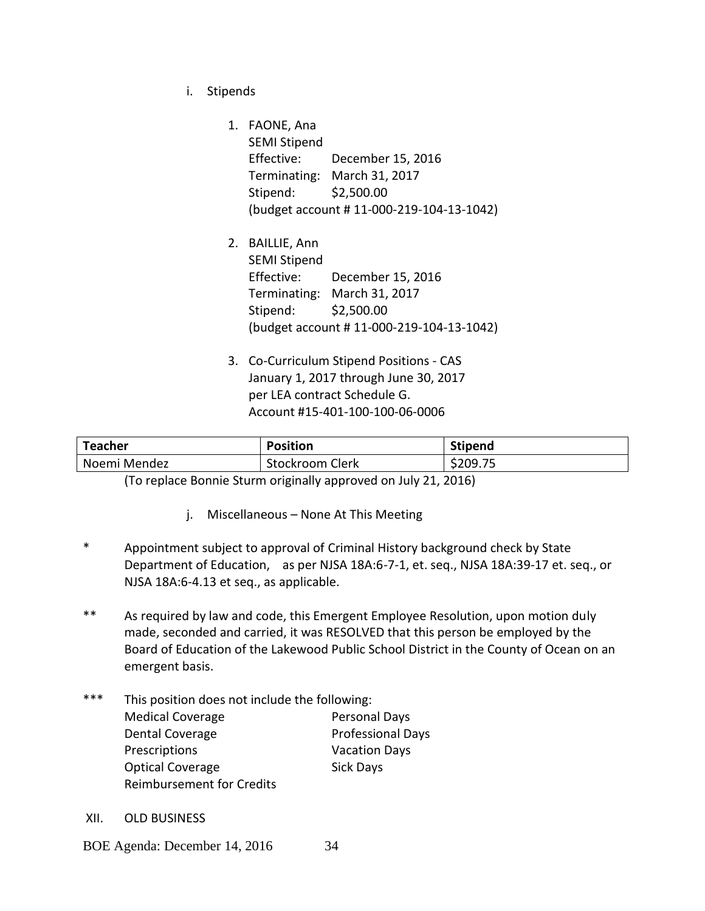i. Stipends

1. FAONE, Ana SEMI Stipend Effective: December 15, 2016 Terminating: March 31, 2017 Stipend: \$2,500.00 (budget account # 11-000-219-104-13-1042)

- 2. BAILLIE, Ann SEMI Stipend Effective: December 15, 2016 Terminating: March 31, 2017 Stipend: \$2,500.00 (budget account # 11-000-219-104-13-1042)
- 3. Co-Curriculum Stipend Positions CAS January 1, 2017 through June 30, 2017 per LEA contract Schedule G. Account #15-401-100-100-06-0006

| <b>Teacher</b> | <b>Position</b> | <b>Stipend</b> |
|----------------|-----------------|----------------|
| Noemi Mendez   | Stockroom Clerk | \$209.75       |

(To replace Bonnie Sturm originally approved on July 21, 2016)

- j. Miscellaneous None At This Meeting
- \* Appointment subject to approval of Criminal History background check by State Department of Education, as per NJSA 18A:6-7-1, et. seq., NJSA 18A:39-17 et. seq., or NJSA 18A:6-4.13 et seq., as applicable.
- \*\* As required by law and code, this Emergent Employee Resolution, upon motion duly made, seconded and carried, it was RESOLVED that this person be employed by the Board of Education of the Lakewood Public School District in the County of Ocean on an emergent basis.
- \*\*\* This position does not include the following: Medical Coverage **Personal Days** Dental Coverage **Professional Days** Prescriptions **Vacation Days** Optical Coverage Sick Days Reimbursement for Credits
- XII. OLD BUSINESS

BOE Agenda: December 14, 2016 34